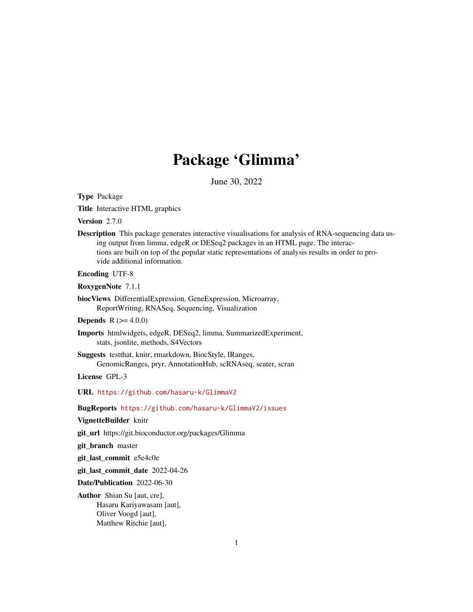# Package 'Glimma'

June 30, 2022

<span id="page-0-0"></span>Type Package

Title Interactive HTML graphics

Version 2.7.0

Description This package generates interactive visualisations for analysis of RNA-sequencing data using output from limma, edgeR or DESeq2 packages in an HTML page. The interactions are built on top of the popular static representations of analysis results in order to provide additional information.

Encoding UTF-8

RoxygenNote 7.1.1

biocViews DifferentialExpression, GeneExpression, Microarray, ReportWriting, RNASeq, Sequencing, Visualization

**Depends** R  $(>= 4.0.0)$ 

Imports htmlwidgets, edgeR, DESeq2, limma, SummarizedExperiment, stats, jsonlite, methods, S4Vectors

Suggests testthat, knitr, rmarkdown, BiocStyle, IRanges, GenomicRanges, pryr, AnnotationHub, scRNAseq, scater, scran

License GPL-3

URL <https://github.com/hasaru-k/GlimmaV2>

BugReports <https://github.com/hasaru-k/GlimmaV2/issues>

VignetteBuilder knitr

git\_url https://git.bioconductor.org/packages/Glimma

git\_branch master

git\_last\_commit e5e4c0e

git\_last\_commit\_date 2022-04-26

Date/Publication 2022-06-30

Author Shian Su [aut, cre], Hasaru Kariyawasam [aut], Oliver Voogd [aut], Matthew Ritchie [aut],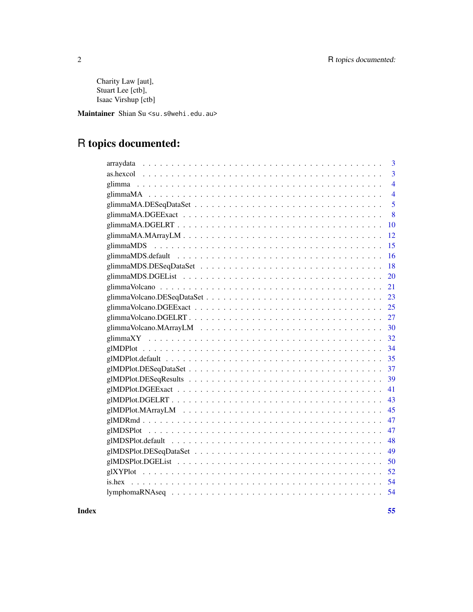Charity Law [aut], Stuart Lee [ctb], Isaac Virshup [ctb]

Maintainer Shian Su <su.s@wehi.edu.au>

## R topics documented:

| 3<br>arraydata                                                                                                     |
|--------------------------------------------------------------------------------------------------------------------|
| 3                                                                                                                  |
| $\overline{4}$                                                                                                     |
| $\overline{4}$                                                                                                     |
| 5                                                                                                                  |
| 8                                                                                                                  |
| 10                                                                                                                 |
| 12                                                                                                                 |
| 15<br>glimmaMDS                                                                                                    |
| 16                                                                                                                 |
| 18                                                                                                                 |
| 20                                                                                                                 |
| 21                                                                                                                 |
| 23                                                                                                                 |
| 25                                                                                                                 |
| 27                                                                                                                 |
| $glimmaVolcano.MArrayLM \dots \dots \dots \dots \dots \dots \dots \dots \dots \dots \dots \dots \dots \dots$<br>30 |
| 32                                                                                                                 |
| 34                                                                                                                 |
| 35                                                                                                                 |
| 37                                                                                                                 |
| 39                                                                                                                 |
| 41                                                                                                                 |
| 43                                                                                                                 |
| 45                                                                                                                 |
| 47                                                                                                                 |
| 47                                                                                                                 |
| 48                                                                                                                 |
| 49                                                                                                                 |
| 50                                                                                                                 |
| 52                                                                                                                 |
| 54                                                                                                                 |
| 54                                                                                                                 |
|                                                                                                                    |

**Index** [55](#page-54-0)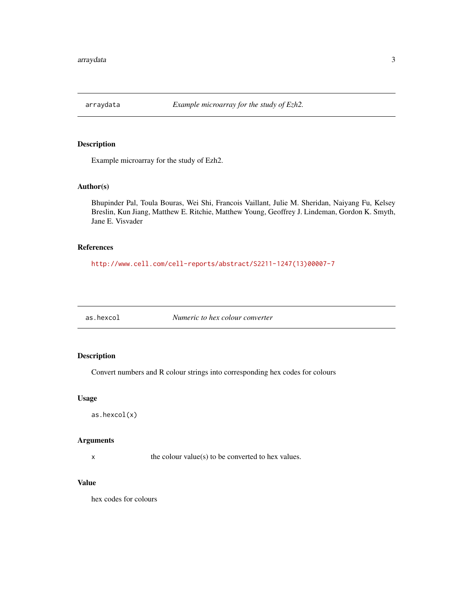<span id="page-2-0"></span>

## Description

Example microarray for the study of Ezh2.

## Author(s)

Bhupinder Pal, Toula Bouras, Wei Shi, Francois Vaillant, Julie M. Sheridan, Naiyang Fu, Kelsey Breslin, Kun Jiang, Matthew E. Ritchie, Matthew Young, Geoffrey J. Lindeman, Gordon K. Smyth, Jane E. Visvader

## References

[http://www.cell.com/cell-reports/abstract/S2211-1247\(13\)00007-7](http://www.cell.com/cell-reports/abstract/S2211-1247(13)00007-7)

as.hexcol *Numeric to hex colour converter*

## Description

Convert numbers and R colour strings into corresponding hex codes for colours

#### Usage

as.hexcol(x)

#### Arguments

x the colour value(s) to be converted to hex values.

## Value

hex codes for colours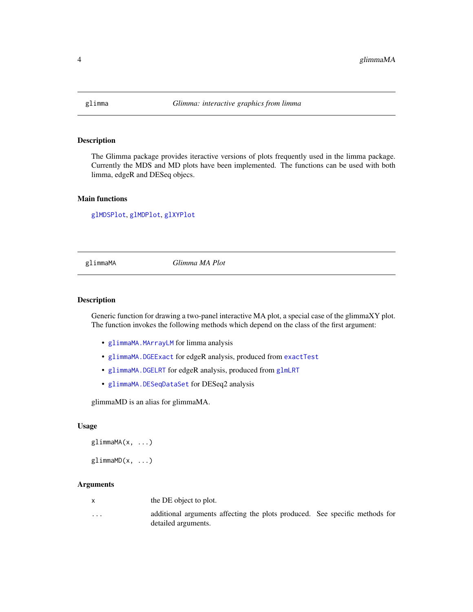<span id="page-3-0"></span>

## Description

The Glimma package provides iteractive versions of plots frequently used in the limma package. Currently the MDS and MD plots have been implemented. The functions can be used with both limma, edgeR and DESeq objecs.

## Main functions

[glMDSPlot](#page-46-1), [glMDPlot](#page-33-1), [glXYPlot](#page-51-1)

<span id="page-3-1"></span>glimmaMA *Glimma MA Plot*

#### Description

Generic function for drawing a two-panel interactive MA plot, a special case of the glimmaXY plot. The function invokes the following methods which depend on the class of the first argument:

- [glimmaMA.MArrayLM](#page-11-1) for limma analysis
- [glimmaMA.DGEExact](#page-7-1) for edgeR analysis, produced from [exactTest](#page-0-0)
- [glimmaMA.DGELRT](#page-9-1) for edgeR analysis, produced from [glmLRT](#page-0-0)
- [glimmaMA.DESeqDataSet](#page-4-1) for DESeq2 analysis

glimmaMD is an alias for glimmaMA.

#### Usage

 $glimm<sub>A</sub>(x, ...)$ 

 $glimmanD(x, \ldots)$ 

## Arguments

| x | the DE object to plot. |
|---|------------------------|
|---|------------------------|

... additional arguments affecting the plots produced. See specific methods for detailed arguments.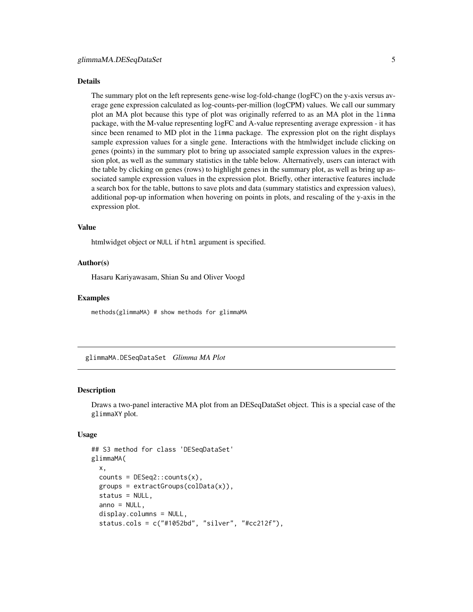#### <span id="page-4-0"></span>Details

The summary plot on the left represents gene-wise log-fold-change (logFC) on the y-axis versus average gene expression calculated as log-counts-per-million (logCPM) values. We call our summary plot an MA plot because this type of plot was originally referred to as an MA plot in the limma package, with the M-value representing logFC and A-value representing average expression - it has since been renamed to MD plot in the limma package. The expression plot on the right displays sample expression values for a single gene. Interactions with the htmlwidget include clicking on genes (points) in the summary plot to bring up associated sample expression values in the expression plot, as well as the summary statistics in the table below. Alternatively, users can interact with the table by clicking on genes (rows) to highlight genes in the summary plot, as well as bring up associated sample expression values in the expression plot. Briefly, other interactive features include a search box for the table, buttons to save plots and data (summary statistics and expression values), additional pop-up information when hovering on points in plots, and rescaling of the y-axis in the expression plot.

#### Value

htmlwidget object or NULL if html argument is specified.

#### Author(s)

Hasaru Kariyawasam, Shian Su and Oliver Voogd

#### Examples

methods(glimmaMA) # show methods for glimmaMA

<span id="page-4-1"></span>glimmaMA.DESeqDataSet *Glimma MA Plot*

#### Description

Draws a two-panel interactive MA plot from an DESeqDataSet object. This is a special case of the glimmaXY plot.

#### Usage

```
## S3 method for class 'DESeqDataSet'
glimmaMA(
  x,
  counts = DESeq2::counts(x),
  groups = extractGroups(colData(x)),
  status = NULL,
  anno = NULL,display.columns = NULL,
  status.cols = c("#1052bd", "silver", "#cc212f"),
```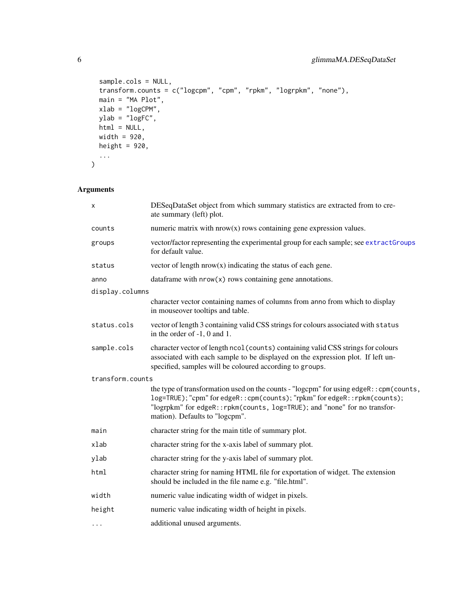```
sample.cols = NULL,
 transform.counts = c("logcpm", "cpm", "rpkm", "logrpkm", "none"),
 main = "MA Plot",xlab = "logCPM",
 ylab = "logFC",
 html = NULL,width = 920,
 height = 920,
  ...
)
```

| х                | DESeqDataSet object from which summary statistics are extracted from to cre-<br>ate summary (left) plot.                                                                                                                                                                            |  |
|------------------|-------------------------------------------------------------------------------------------------------------------------------------------------------------------------------------------------------------------------------------------------------------------------------------|--|
| counts           | numeric matrix with $nrow(x)$ rows containing gene expression values.                                                                                                                                                                                                               |  |
| groups           | vector/factor representing the experimental group for each sample; see extractGroups<br>for default value.                                                                                                                                                                          |  |
| status           | vector of length $nrow(x)$ indicating the status of each gene.                                                                                                                                                                                                                      |  |
| anno             | data frame with $nrow(x)$ rows containing gene annotations.                                                                                                                                                                                                                         |  |
| display.columns  |                                                                                                                                                                                                                                                                                     |  |
|                  | character vector containing names of columns from anno from which to display<br>in mouseover tooltips and table.                                                                                                                                                                    |  |
| status.cols      | vector of length 3 containing valid CSS strings for colours associated with status<br>in the order of $-1$ , 0 and 1.                                                                                                                                                               |  |
| sample.cols      | character vector of length ncol (counts) containing valid CSS strings for colours<br>associated with each sample to be displayed on the expression plot. If left un-<br>specified, samples will be coloured according to groups.                                                    |  |
| transform.counts |                                                                                                                                                                                                                                                                                     |  |
|                  | the type of transformation used on the counts - "logcpm" for using edgeR:: cpm(counts,<br>log=TRUE); "cpm" for edgeR:: cpm(counts); "rpkm" for edgeR:: rpkm(counts);<br>"logrpkm" for edgeR:: rpkm(counts, log=TRUE); and "none" for no transfor-<br>mation). Defaults to "logcpm". |  |
| main             | character string for the main title of summary plot.                                                                                                                                                                                                                                |  |
| xlab             | character string for the x-axis label of summary plot.                                                                                                                                                                                                                              |  |
| ylab             | character string for the y-axis label of summary plot.                                                                                                                                                                                                                              |  |
| html             | character string for naming HTML file for exportation of widget. The extension<br>should be included in the file name e.g. "file.html".                                                                                                                                             |  |
| width            | numeric value indicating width of widget in pixels.                                                                                                                                                                                                                                 |  |
| height           | numeric value indicating width of height in pixels.                                                                                                                                                                                                                                 |  |
| $\cdots$         | additional unused arguments.                                                                                                                                                                                                                                                        |  |

<span id="page-5-0"></span>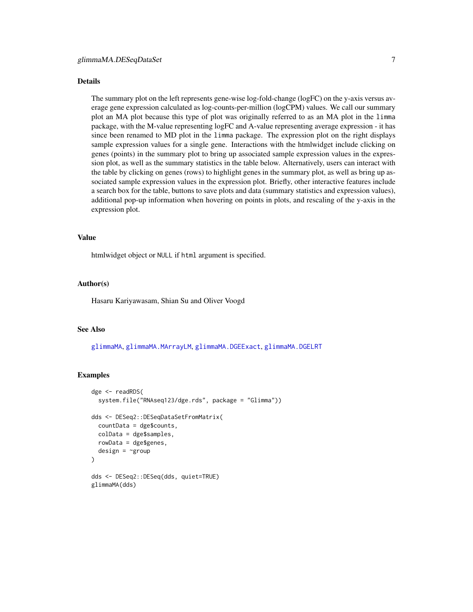#### <span id="page-6-0"></span>Details

The summary plot on the left represents gene-wise log-fold-change (logFC) on the y-axis versus average gene expression calculated as log-counts-per-million (logCPM) values. We call our summary plot an MA plot because this type of plot was originally referred to as an MA plot in the limma package, with the M-value representing logFC and A-value representing average expression - it has since been renamed to MD plot in the limma package. The expression plot on the right displays sample expression values for a single gene. Interactions with the htmlwidget include clicking on genes (points) in the summary plot to bring up associated sample expression values in the expression plot, as well as the summary statistics in the table below. Alternatively, users can interact with the table by clicking on genes (rows) to highlight genes in the summary plot, as well as bring up associated sample expression values in the expression plot. Briefly, other interactive features include a search box for the table, buttons to save plots and data (summary statistics and expression values), additional pop-up information when hovering on points in plots, and rescaling of the y-axis in the expression plot.

#### Value

htmlwidget object or NULL if html argument is specified.

## Author(s)

Hasaru Kariyawasam, Shian Su and Oliver Voogd

## See Also

[glimmaMA](#page-3-1), [glimmaMA.MArrayLM](#page-11-1), [glimmaMA.DGEExact](#page-7-1), [glimmaMA.DGELRT](#page-9-1)

#### Examples

```
dge <- readRDS(
 system.file("RNAseq123/dge.rds", package = "Glimma"))
dds <- DESeq2::DESeqDataSetFromMatrix(
 countData = dge$counts,
 colData = dge$samples,
 rowData = dge$genes,
 design = \simgroup
)
dds <- DESeq2::DESeq(dds, quiet=TRUE)
glimmaMA(dds)
```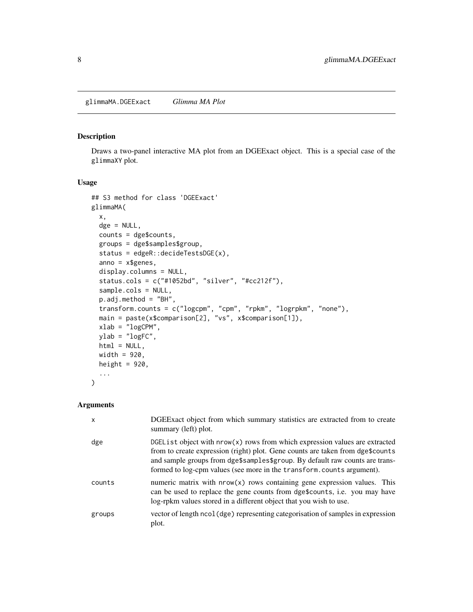## <span id="page-7-1"></span><span id="page-7-0"></span>Description

Draws a two-panel interactive MA plot from an DGEExact object. This is a special case of the glimmaXY plot.

## Usage

```
## S3 method for class 'DGEExact'
glimmaMA(
  x,
  dge = NULL,
  counts = dge$counts,
  groups = dge$samples$group,
  status = edgeR::decideTestsDGE(x),
  anno = x$genes,
  display.columns = NULL,
  status.cols = c("#1052bd", "silver", "#cc212f"),
  sample.cols = NULL,
  p.adj.method = "BH",
  transform.counts = c("logcpm", "cpm", "rpkm", "logrpkm", "none"),
 main = paste(x$comparison[2], "vs", x$comparison[1]),
  xlab = "logCPM",
 ylab = "logFC",
 html = NULL,width = 920,
 height = 920,
  ...
\mathcal{L}
```

| $\mathsf{x}$ | DGEExact object from which summary statistics are extracted from to create<br>summary (left) plot.                                                                                                                                                                                                                     |
|--------------|------------------------------------------------------------------------------------------------------------------------------------------------------------------------------------------------------------------------------------------------------------------------------------------------------------------------|
| dge          | DGEList object with nrow(x) rows from which expression values are extracted<br>from to create expression (right) plot. Gene counts are taken from dge\$counts<br>and sample groups from dge\$samples\$group. By default raw counts are trans-<br>formed to log-cpm values (see more in the transform.counts argument). |
| counts       | numeric matrix with $nrow(x)$ rows containing gene expression values. This<br>can be used to replace the gene counts from dge\$counts, i.e. you may have<br>log-rpkm values stored in a different object that you wish to use.                                                                                         |
| groups       | vector of length ncol (dge) representing categorisation of samples in expression<br>plot.                                                                                                                                                                                                                              |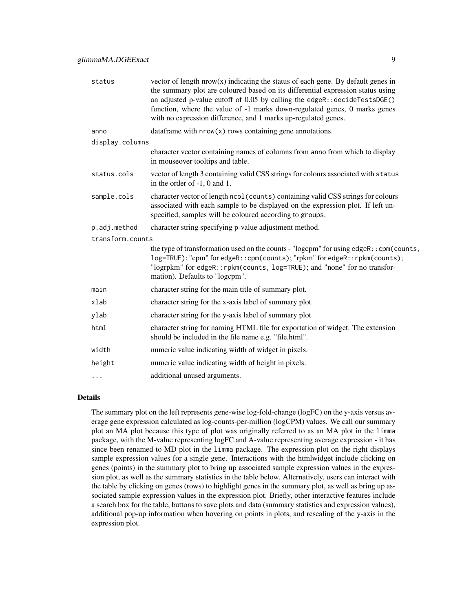| status           | vector of length $nrow(x)$ indicating the status of each gene. By default genes in<br>the summary plot are coloured based on its differential expression status using<br>an adjusted p-value cutoff of 0.05 by calling the edgeR::decideTestsDGE()<br>function, where the value of -1 marks down-regulated genes, 0 marks genes<br>with no expression difference, and 1 marks up-regulated genes. |
|------------------|---------------------------------------------------------------------------------------------------------------------------------------------------------------------------------------------------------------------------------------------------------------------------------------------------------------------------------------------------------------------------------------------------|
| anno             | data frame with $nrow(x)$ rows containing gene annotations.                                                                                                                                                                                                                                                                                                                                       |
| display.columns  |                                                                                                                                                                                                                                                                                                                                                                                                   |
|                  | character vector containing names of columns from anno from which to display<br>in mouseover tooltips and table.                                                                                                                                                                                                                                                                                  |
| status.cols      | vector of length 3 containing valid CSS strings for colours associated with status<br>in the order of $-1$ , 0 and 1.                                                                                                                                                                                                                                                                             |
| sample.cols      | character vector of length ncol (counts) containing valid CSS strings for colours<br>associated with each sample to be displayed on the expression plot. If left un-<br>specified, samples will be coloured according to groups.                                                                                                                                                                  |
| p.adj.method     | character string specifying p-value adjustment method.                                                                                                                                                                                                                                                                                                                                            |
| transform.counts |                                                                                                                                                                                                                                                                                                                                                                                                   |
|                  | the type of transformation used on the counts - "logcpm" for using edgeR:: cpm(counts,<br>log=TRUE); "cpm" for edgeR:: cpm(counts); "rpkm" for edgeR:: rpkm(counts);<br>"logrpkm" for edgeR:: rpkm(counts, log=TRUE); and "none" for no transfor-<br>mation). Defaults to "logcpm".                                                                                                               |
| main             | character string for the main title of summary plot.                                                                                                                                                                                                                                                                                                                                              |
| xlab             | character string for the x-axis label of summary plot.                                                                                                                                                                                                                                                                                                                                            |
| ylab             | character string for the y-axis label of summary plot.                                                                                                                                                                                                                                                                                                                                            |
| html             | character string for naming HTML file for exportation of widget. The extension<br>should be included in the file name e.g. "file.html".                                                                                                                                                                                                                                                           |
| width            | numeric value indicating width of widget in pixels.                                                                                                                                                                                                                                                                                                                                               |
| height           | numeric value indicating width of height in pixels.                                                                                                                                                                                                                                                                                                                                               |
| $\cdots$         | additional unused arguments.                                                                                                                                                                                                                                                                                                                                                                      |
|                  |                                                                                                                                                                                                                                                                                                                                                                                                   |

## Details

The summary plot on the left represents gene-wise log-fold-change (logFC) on the y-axis versus average gene expression calculated as log-counts-per-million (logCPM) values. We call our summary plot an MA plot because this type of plot was originally referred to as an MA plot in the limma package, with the M-value representing logFC and A-value representing average expression - it has since been renamed to MD plot in the limma package. The expression plot on the right displays sample expression values for a single gene. Interactions with the htmlwidget include clicking on genes (points) in the summary plot to bring up associated sample expression values in the expression plot, as well as the summary statistics in the table below. Alternatively, users can interact with the table by clicking on genes (rows) to highlight genes in the summary plot, as well as bring up associated sample expression values in the expression plot. Briefly, other interactive features include a search box for the table, buttons to save plots and data (summary statistics and expression values), additional pop-up information when hovering on points in plots, and rescaling of the y-axis in the expression plot.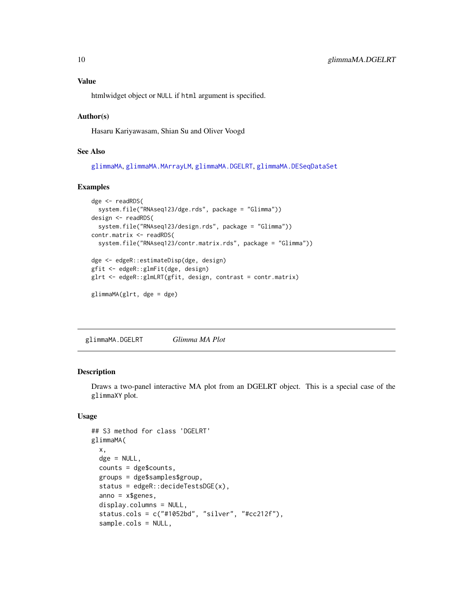<span id="page-9-0"></span>htmlwidget object or NULL if html argument is specified.

#### Author(s)

Hasaru Kariyawasam, Shian Su and Oliver Voogd

## See Also

[glimmaMA](#page-3-1), [glimmaMA.MArrayLM](#page-11-1), [glimmaMA.DGELRT](#page-9-1), [glimmaMA.DESeqDataSet](#page-4-1)

## Examples

```
dge <- readRDS(
  system.file("RNAseq123/dge.rds", package = "Glimma"))
design <- readRDS(
  system.file("RNAseq123/design.rds", package = "Glimma"))
contr.matrix <- readRDS(
  system.file("RNAseq123/contr.matrix.rds", package = "Glimma"))
dge <- edgeR::estimateDisp(dge, design)
gfit <- edgeR::glmFit(dge, design)
glrt <- edgeR::glmLRT(gfit, design, contrast = contr.matrix)
glimmaMA(glrt, dge = dge)
```
<span id="page-9-1"></span>glimmaMA.DGELRT *Glimma MA Plot*

#### Description

Draws a two-panel interactive MA plot from an DGELRT object. This is a special case of the glimmaXY plot.

## Usage

```
## S3 method for class 'DGELRT'
glimmaMA(
 x,
 \text{dge} = \text{NULL},
 counts = dge$counts,
  groups = dge$samples$group,
  status = edgeR::decideTestsDGE(x),
  anno = x$genes,
  display.columns = NULL,
  status.cols = c("#1052bd", "silver", "#cc212f"),
  sample.cols = NULL,
```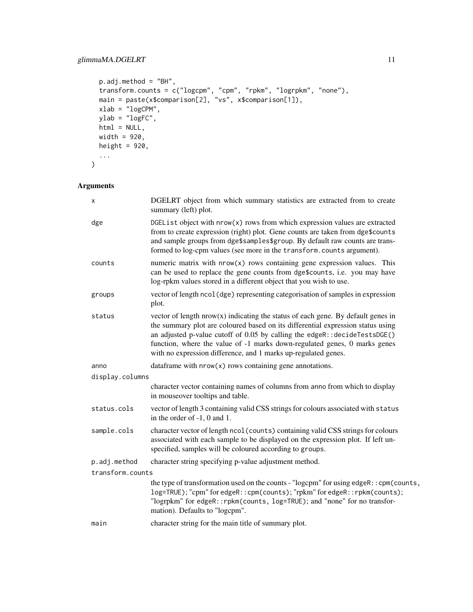```
p.addj.method = "BH",transform.counts = c("logcpm", "cpm", "rpkm", "logrpkm", "none"),
 main = paste(x$comparison[2], "vs", x$comparison[1]),
 xlab = "logCPM",
 ylab = "logFC",
 html = NULL,width = 920,
 height = 920,
  ...
)
```

| х                | DGELRT object from which summary statistics are extracted from to create<br>summary (left) plot.                                                                                                                                                                                                                                                                                                   |  |
|------------------|----------------------------------------------------------------------------------------------------------------------------------------------------------------------------------------------------------------------------------------------------------------------------------------------------------------------------------------------------------------------------------------------------|--|
| dge              | DGEList object with nrow(x) rows from which expression values are extracted<br>from to create expression (right) plot. Gene counts are taken from dge\$counts<br>and sample groups from dge\$samples\$group. By default raw counts are trans-<br>formed to log-cpm values (see more in the transform.counts argument).                                                                             |  |
| counts           | numeric matrix with $nrow(x)$ rows containing gene expression values. This<br>can be used to replace the gene counts from dge\$counts, i.e. you may have<br>log-rpkm values stored in a different object that you wish to use.                                                                                                                                                                     |  |
| groups           | vector of length ncol (dge) representing categorisation of samples in expression<br>plot.                                                                                                                                                                                                                                                                                                          |  |
| status           | vector of length $nrow(x)$ indicating the status of each gene. By default genes in<br>the summary plot are coloured based on its differential expression status using<br>an adjusted p-value cutoff of 0.05 by calling the edgeR:: decideTestsDGE()<br>function, where the value of -1 marks down-regulated genes, 0 marks genes<br>with no expression difference, and 1 marks up-regulated genes. |  |
| anno             | data frame with $nrow(x)$ rows containing gene annotations.                                                                                                                                                                                                                                                                                                                                        |  |
| display.columns  |                                                                                                                                                                                                                                                                                                                                                                                                    |  |
|                  | character vector containing names of columns from anno from which to display<br>in mouseover tooltips and table.                                                                                                                                                                                                                                                                                   |  |
| status.cols      | vector of length 3 containing valid CSS strings for colours associated with status<br>in the order of -1, 0 and 1.                                                                                                                                                                                                                                                                                 |  |
| sample.cols      | character vector of length ncol (counts) containing valid CSS strings for colours<br>associated with each sample to be displayed on the expression plot. If left un-<br>specified, samples will be coloured according to groups.                                                                                                                                                                   |  |
| p.adj.method     | character string specifying p-value adjustment method.                                                                                                                                                                                                                                                                                                                                             |  |
| transform.counts |                                                                                                                                                                                                                                                                                                                                                                                                    |  |
|                  | the type of transformation used on the counts - "logcpm" for using edgeR:: cpm(counts,<br>log=TRUE); "cpm" for edgeR:: cpm(counts); "rpkm" for edgeR:: rpkm(counts);<br>"logrpkm" for edgeR:: rpkm(counts, log=TRUE); and "none" for no transfor-<br>mation). Defaults to "logcpm".                                                                                                                |  |
| main             | character string for the main title of summary plot.                                                                                                                                                                                                                                                                                                                                               |  |
|                  |                                                                                                                                                                                                                                                                                                                                                                                                    |  |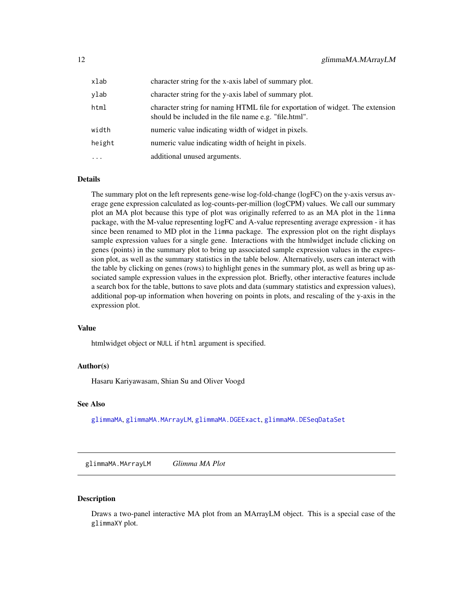<span id="page-11-0"></span>

| xlab      | character string for the x-axis label of summary plot.                                                                                  |
|-----------|-----------------------------------------------------------------------------------------------------------------------------------------|
| ylab      | character string for the y-axis label of summary plot.                                                                                  |
| html      | character string for naming HTML file for exportation of widget. The extension<br>should be included in the file name e.g. "file.html". |
| width     | numeric value indicating width of widget in pixels.                                                                                     |
| height    | numeric value indicating width of height in pixels.                                                                                     |
| $\ddotsc$ | additional unused arguments.                                                                                                            |

#### Details

The summary plot on the left represents gene-wise log-fold-change (logFC) on the y-axis versus average gene expression calculated as log-counts-per-million (logCPM) values. We call our summary plot an MA plot because this type of plot was originally referred to as an MA plot in the limma package, with the M-value representing logFC and A-value representing average expression - it has since been renamed to MD plot in the limma package. The expression plot on the right displays sample expression values for a single gene. Interactions with the htmlwidget include clicking on genes (points) in the summary plot to bring up associated sample expression values in the expression plot, as well as the summary statistics in the table below. Alternatively, users can interact with the table by clicking on genes (rows) to highlight genes in the summary plot, as well as bring up associated sample expression values in the expression plot. Briefly, other interactive features include a search box for the table, buttons to save plots and data (summary statistics and expression values), additional pop-up information when hovering on points in plots, and rescaling of the y-axis in the expression plot.

#### Value

htmlwidget object or NULL if html argument is specified.

#### Author(s)

Hasaru Kariyawasam, Shian Su and Oliver Voogd

#### See Also

[glimmaMA](#page-3-1), [glimmaMA.MArrayLM](#page-11-1), [glimmaMA.DGEExact](#page-7-1), [glimmaMA.DESeqDataSet](#page-4-1)

<span id="page-11-1"></span>glimmaMA.MArrayLM *Glimma MA Plot*

#### **Description**

Draws a two-panel interactive MA plot from an MArrayLM object. This is a special case of the glimmaXY plot.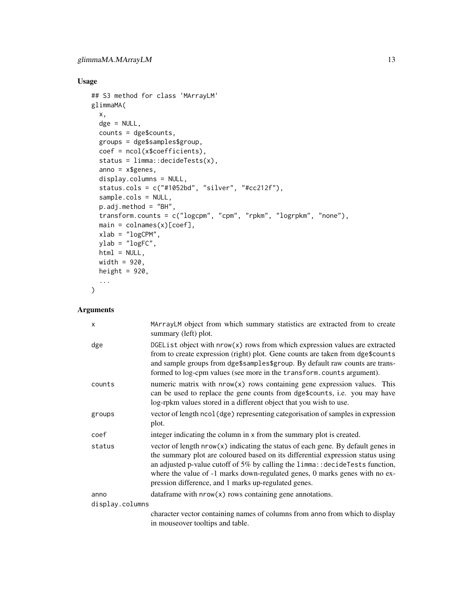## Usage

```
## S3 method for class 'MArrayLM'
glimmaMA(
  x,
  dge = NULL,
  counts = dge$counts,
  groups = dge$samples$group,
  coef = ncol(x$coefficients),
  status = limma::decideTests(x),
  anno = x$genes,
  display.columns = NULL,
 status.cols = c("#1052bd", "silver", "#cc212f"),
  sample.cols = NULL,
 p.adj.method = "BH",
  transform.counts = c("logcpm", "cpm", "rpkm", "logrpkm", "none"),
  main = colnames(x)[coef],
 xlab = "logCPM",
 ylab = "logFC",html = NULL,width = 920,
 height = 920,
  ...
\mathcal{L}
```

| X               | MArrayLM object from which summary statistics are extracted from to create<br>summary (left) plot.                                                                                                                                                                                                                                                                                               |  |
|-----------------|--------------------------------------------------------------------------------------------------------------------------------------------------------------------------------------------------------------------------------------------------------------------------------------------------------------------------------------------------------------------------------------------------|--|
| dge             | DGEList object with nrow(x) rows from which expression values are extracted<br>from to create expression (right) plot. Gene counts are taken from dge\$counts<br>and sample groups from dge\$samples\$group. By default raw counts are trans-<br>formed to log-cpm values (see more in the transform.counts argument).                                                                           |  |
| counts          | numeric matrix with $nrow(x)$ rows containing gene expression values. This<br>can be used to replace the gene counts from dge\$counts, i.e. you may have<br>log-rpkm values stored in a different object that you wish to use.                                                                                                                                                                   |  |
| groups          | vector of length ncol (dge) representing categorisation of samples in expression<br>plot.                                                                                                                                                                                                                                                                                                        |  |
| coef            | integer indicating the column in x from the summary plot is created.                                                                                                                                                                                                                                                                                                                             |  |
| status          | vector of length $nrow(x)$ indicating the status of each gene. By default genes in<br>the summary plot are coloured based on its differential expression status using<br>an adjusted p-value cutoff of 5% by calling the $limmax$ : decideTests function,<br>where the value of -1 marks down-regulated genes, 0 marks genes with no ex-<br>pression difference, and 1 marks up-regulated genes. |  |
| anno            | dataframe with $nrow(x)$ rows containing gene annotations.                                                                                                                                                                                                                                                                                                                                       |  |
| display.columns |                                                                                                                                                                                                                                                                                                                                                                                                  |  |
|                 | character vector containing names of columns from anno from which to display<br>in mouseover tooltips and table.                                                                                                                                                                                                                                                                                 |  |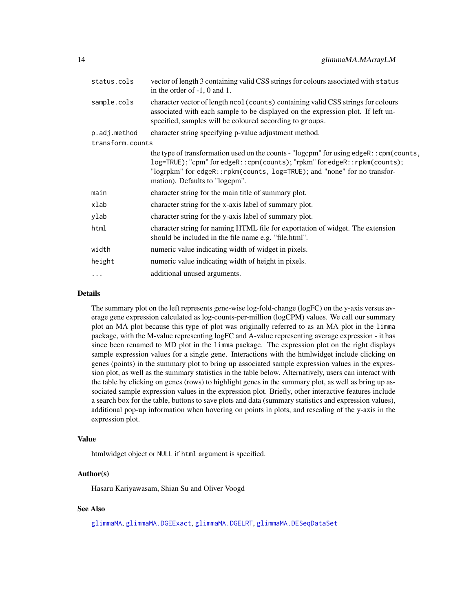<span id="page-13-0"></span>

| status.cols      | vector of length 3 containing valid CSS strings for colours associated with status<br>in the order of $-1$ , 0 and 1.                                                                                                                                                              |  |
|------------------|------------------------------------------------------------------------------------------------------------------------------------------------------------------------------------------------------------------------------------------------------------------------------------|--|
| sample.cols      | character vector of length ncol (counts) containing valid CSS strings for colours<br>associated with each sample to be displayed on the expression plot. If left un-<br>specified, samples will be coloured according to groups.                                                   |  |
| p.adj.method     | character string specifying p-value adjustment method.                                                                                                                                                                                                                             |  |
| transform.counts |                                                                                                                                                                                                                                                                                    |  |
|                  | the type of transformation used on the counts - "logcpm" for using edgeR:: cpm(counts,<br>log=TRUE); "cpm" for edgeR:: cpm(counts); "rpkm" for edgeR:: rpkm(counts);<br>"logrpkm" for edgeR::rpkm(counts, log=TRUE); and "none" for no transfor-<br>mation). Defaults to "logcpm". |  |
| main             | character string for the main title of summary plot.                                                                                                                                                                                                                               |  |
| xlab             | character string for the x-axis label of summary plot.                                                                                                                                                                                                                             |  |
| ylab             | character string for the y-axis label of summary plot.                                                                                                                                                                                                                             |  |
| html             | character string for naming HTML file for exportation of widget. The extension<br>should be included in the file name e.g. "file.html".                                                                                                                                            |  |
| width            | numeric value indicating width of widget in pixels.                                                                                                                                                                                                                                |  |
| height           | numeric value indicating width of height in pixels.                                                                                                                                                                                                                                |  |
| $\cdots$         | additional unused arguments.                                                                                                                                                                                                                                                       |  |

#### Details

The summary plot on the left represents gene-wise log-fold-change (logFC) on the y-axis versus average gene expression calculated as log-counts-per-million (logCPM) values. We call our summary plot an MA plot because this type of plot was originally referred to as an MA plot in the limma package, with the M-value representing logFC and A-value representing average expression - it has since been renamed to MD plot in the limma package. The expression plot on the right displays sample expression values for a single gene. Interactions with the htmlwidget include clicking on genes (points) in the summary plot to bring up associated sample expression values in the expression plot, as well as the summary statistics in the table below. Alternatively, users can interact with the table by clicking on genes (rows) to highlight genes in the summary plot, as well as bring up associated sample expression values in the expression plot. Briefly, other interactive features include a search box for the table, buttons to save plots and data (summary statistics and expression values), additional pop-up information when hovering on points in plots, and rescaling of the y-axis in the expression plot.

#### Value

htmlwidget object or NULL if html argument is specified.

#### Author(s)

Hasaru Kariyawasam, Shian Su and Oliver Voogd

## See Also

[glimmaMA](#page-3-1), [glimmaMA.DGEExact](#page-7-1), [glimmaMA.DGELRT](#page-9-1), [glimmaMA.DESeqDataSet](#page-4-1)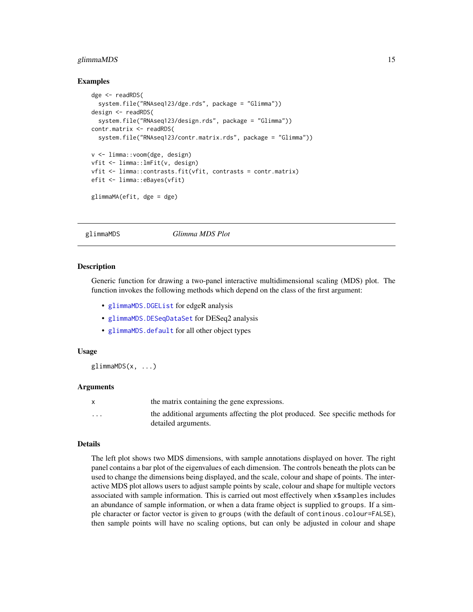## <span id="page-14-0"></span>glimmaMDS 15

#### Examples

```
dge <- readRDS(
 system.file("RNAseq123/dge.rds", package = "Glimma"))
design <- readRDS(
 system.file("RNAseq123/design.rds", package = "Glimma"))
contr.matrix <- readRDS(
 system.file("RNAseq123/contr.matrix.rds", package = "Glimma"))
v <- limma::voom(dge, design)
vfit <- limma::lmFit(v, design)
vfit <- limma::contrasts.fit(vfit, contrasts = contr.matrix)
efit <- limma::eBayes(vfit)
glimmaMA(efit, dge = dge)
```
<span id="page-14-1"></span>glimmaMDS *Glimma MDS Plot*

#### **Description**

Generic function for drawing a two-panel interactive multidimensional scaling (MDS) plot. The function invokes the following methods which depend on the class of the first argument:

- [glimmaMDS.DGEList](#page-19-1) for edgeR analysis
- [glimmaMDS.DESeqDataSet](#page-17-1) for DESeq2 analysis
- [glimmaMDS.default](#page-15-1) for all other object types

#### Usage

glimmaMDS(x, ...)

#### Arguments

|                         | the matrix containing the gene expressions.                                    |
|-------------------------|--------------------------------------------------------------------------------|
| $\cdot$ $\cdot$ $\cdot$ | the additional arguments affecting the plot produced. See specific methods for |
|                         | detailed arguments.                                                            |

#### Details

The left plot shows two MDS dimensions, with sample annotations displayed on hover. The right panel contains a bar plot of the eigenvalues of each dimension. The controls beneath the plots can be used to change the dimensions being displayed, and the scale, colour and shape of points. The interactive MDS plot allows users to adjust sample points by scale, colour and shape for multiple vectors associated with sample information. This is carried out most effectively when x\$samples includes an abundance of sample information, or when a data frame object is supplied to groups. If a simple character or factor vector is given to groups (with the default of continous.colour=FALSE), then sample points will have no scaling options, but can only be adjusted in colour and shape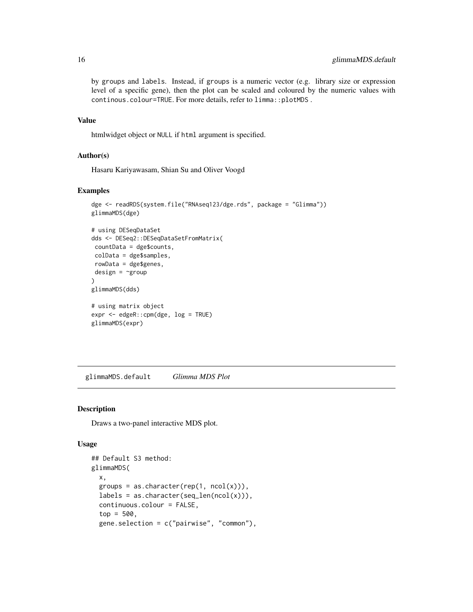by groups and labels. Instead, if groups is a numeric vector (e.g. library size or expression level of a specific gene), then the plot can be scaled and coloured by the numeric values with continous.colour=TRUE. For more details, refer to limma::plotMDS .

## Value

htmlwidget object or NULL if html argument is specified.

## Author(s)

Hasaru Kariyawasam, Shian Su and Oliver Voogd

## Examples

```
dge <- readRDS(system.file("RNAseq123/dge.rds", package = "Glimma"))
glimmaMDS(dge)
# using DESeqDataSet
dds <- DESeq2::DESeqDataSetFromMatrix(
countData = dge$counts,
colData = dge$samples,
rowData = dge$genes,
design = \text{``group})
glimmaMDS(dds)
# using matrix object
expr <- edgeR::cpm(dge, log = TRUE)
glimmaMDS(expr)
```
<span id="page-15-1"></span>glimmaMDS.default *Glimma MDS Plot*

#### Description

Draws a two-panel interactive MDS plot.

#### Usage

```
## Default S3 method:
glimmaMDS(
  x,
  groups = as.character(rep(1, ncol(x))),
  labels = as.charAter(seq_length(ncol(x))),
  continuous.colour = FALSE,
  top = 500,
  gene.selection = c("pairwise", "common"),
```
<span id="page-15-0"></span>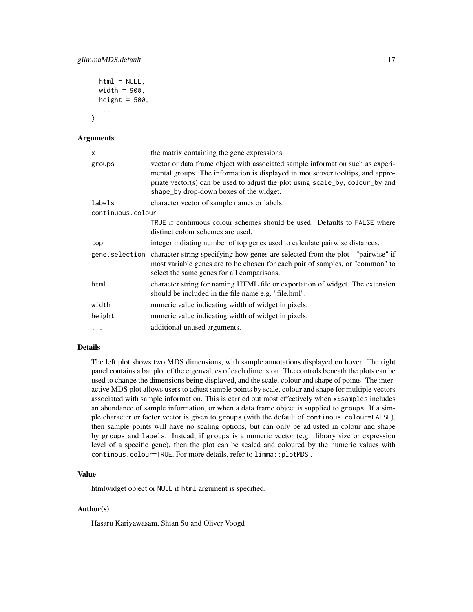```
html = NULL,width = 900.
height = 500.
...
```
#### Arguments

)

| X                 | the matrix containing the gene expressions.                                                                                                                                                                                                                                                 |
|-------------------|---------------------------------------------------------------------------------------------------------------------------------------------------------------------------------------------------------------------------------------------------------------------------------------------|
| groups            | vector or data frame object with associated sample information such as experi-<br>mental groups. The information is displayed in mouseover tooltips, and appro-<br>priate vector(s) can be used to adjust the plot using scale_by, colour_by and<br>shape_by drop-down boxes of the widget. |
| labels            | character vector of sample names or labels.                                                                                                                                                                                                                                                 |
| continuous.colour |                                                                                                                                                                                                                                                                                             |
|                   | TRUE if continuous colour schemes should be used. Defaults to FALSE where<br>distinct colour schemes are used.                                                                                                                                                                              |
| top               | integer indiating number of top genes used to calculate pairwise distances.                                                                                                                                                                                                                 |
|                   | gene. selection character string specifying how genes are selected from the plot - "pairwise" if<br>most variable genes are to be chosen for each pair of samples, or "common" to<br>select the same genes for all comparisons.                                                             |
| html              | character string for naming HTML file or exportation of widget. The extension<br>should be included in the file name e.g. "file.hml".                                                                                                                                                       |
| width             | numeric value indicating width of widget in pixels.                                                                                                                                                                                                                                         |
| height            | numeric value indicating width of widget in pixels.                                                                                                                                                                                                                                         |
| $\cdots$          | additional unused arguments.                                                                                                                                                                                                                                                                |

#### Details

The left plot shows two MDS dimensions, with sample annotations displayed on hover. The right panel contains a bar plot of the eigenvalues of each dimension. The controls beneath the plots can be used to change the dimensions being displayed, and the scale, colour and shape of points. The interactive MDS plot allows users to adjust sample points by scale, colour and shape for multiple vectors associated with sample information. This is carried out most effectively when x\$samples includes an abundance of sample information, or when a data frame object is supplied to groups. If a simple character or factor vector is given to groups (with the default of continous.colour=FALSE), then sample points will have no scaling options, but can only be adjusted in colour and shape by groups and labels. Instead, if groups is a numeric vector (e.g. library size or expression level of a specific gene), then the plot can be scaled and coloured by the numeric values with continous.colour=TRUE. For more details, refer to limma::plotMDS .

## Value

htmlwidget object or NULL if html argument is specified.

## Author(s)

Hasaru Kariyawasam, Shian Su and Oliver Voogd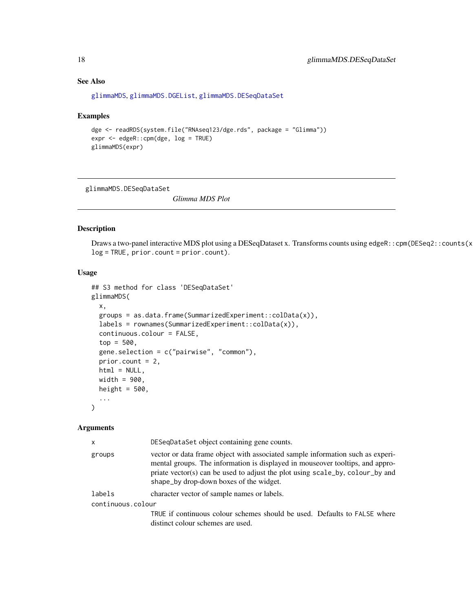## See Also

```
glimmaMDS, glimmaMDS.DGEList, glimmaMDS.DESeqDataSet
```
#### Examples

```
dge <- readRDS(system.file("RNAseq123/dge.rds", package = "Glimma"))
expr <- edgeR::cpm(dge, log = TRUE)
glimmaMDS(expr)
```
<span id="page-17-1"></span>glimmaMDS.DESeqDataSet

*Glimma MDS Plot*

## Description

Draws a two-panel interactive MDS plot using a DESeqDataset x. Transforms counts using edgeR:: cpm(DESeq2:: counts(x log = TRUE, prior.count = prior.count).

#### Usage

```
## S3 method for class 'DESeqDataSet'
glimmaMDS(
 x,
 groups = as.data.frame(SummarizedExperiment::colData(x)),
 labels = rownames(SummarizedExperiment::colData(x)),
 continuous.colour = FALSE,
  top = 500,gene.selection = c("pairwise", "common"),
 prior.count = 2,
 html = NULL,width = 900.
 height = 500,
  ...
)
```

| $\mathsf{x}$      | DESeqDataSet object containing gene counts.                                                                                                                                                                                                                                                 |
|-------------------|---------------------------------------------------------------------------------------------------------------------------------------------------------------------------------------------------------------------------------------------------------------------------------------------|
| groups            | vector or data frame object with associated sample information such as experi-<br>mental groups. The information is displayed in mouseover tooltips, and appro-<br>priate vector(s) can be used to adjust the plot using scale_by, colour_by and<br>shape_by drop-down boxes of the widget. |
| labels            | character vector of sample names or labels.                                                                                                                                                                                                                                                 |
| continuous.colour |                                                                                                                                                                                                                                                                                             |
|                   | TRUE if continuous colour schemes should be used. Defaults to FALSE where<br>distinct colour schemes are used.                                                                                                                                                                              |

<span id="page-17-0"></span>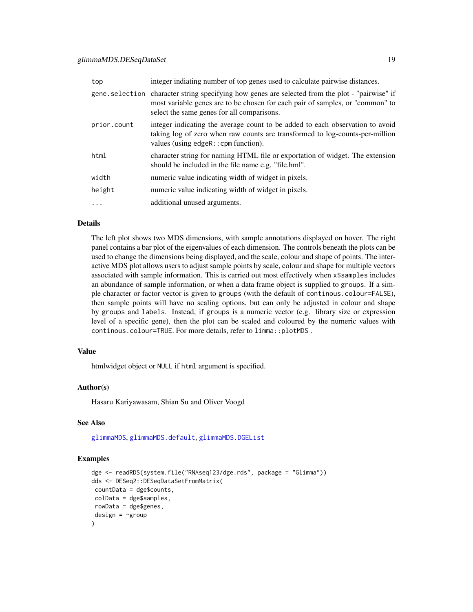## <span id="page-18-0"></span>glimmaMDS.DESeqDataSet 19

| top         | integer indiating number of top genes used to calculate pairwise distances.                                                                                                                                                    |
|-------------|--------------------------------------------------------------------------------------------------------------------------------------------------------------------------------------------------------------------------------|
|             | gene selection character string specifying how genes are selected from the plot - "pairwise" if<br>most variable genes are to be chosen for each pair of samples, or "common" to<br>select the same genes for all comparisons. |
| prior.count | integer indicating the average count to be added to each observation to avoid<br>taking log of zero when raw counts are transformed to log-counts-per-million<br>values (using $edge:$ : cpm function).                        |
| html        | character string for naming HTML file or exportation of widget. The extension<br>should be included in the file name e.g. "file.hml".                                                                                          |
| width       | numeric value indicating width of widget in pixels.                                                                                                                                                                            |
| height      | numeric value indicating width of widget in pixels.                                                                                                                                                                            |
| $\cdots$    | additional unused arguments.                                                                                                                                                                                                   |

#### Details

The left plot shows two MDS dimensions, with sample annotations displayed on hover. The right panel contains a bar plot of the eigenvalues of each dimension. The controls beneath the plots can be used to change the dimensions being displayed, and the scale, colour and shape of points. The interactive MDS plot allows users to adjust sample points by scale, colour and shape for multiple vectors associated with sample information. This is carried out most effectively when x\$samples includes an abundance of sample information, or when a data frame object is supplied to groups. If a simple character or factor vector is given to groups (with the default of continous.colour=FALSE), then sample points will have no scaling options, but can only be adjusted in colour and shape by groups and labels. Instead, if groups is a numeric vector (e.g. library size or expression level of a specific gene), then the plot can be scaled and coloured by the numeric values with continous.colour=TRUE. For more details, refer to limma::plotMDS .

#### Value

htmlwidget object or NULL if html argument is specified.

#### Author(s)

Hasaru Kariyawasam, Shian Su and Oliver Voogd

#### See Also

[glimmaMDS](#page-14-1), [glimmaMDS.default](#page-15-1), [glimmaMDS.DGEList](#page-19-1)

## Examples

```
dge <- readRDS(system.file("RNAseq123/dge.rds", package = "Glimma"))
dds <- DESeq2::DESeqDataSetFromMatrix(
countData = dge$counts,
colData = dge$samples,
rowData = dge$genes,
design = \simgroup
)
```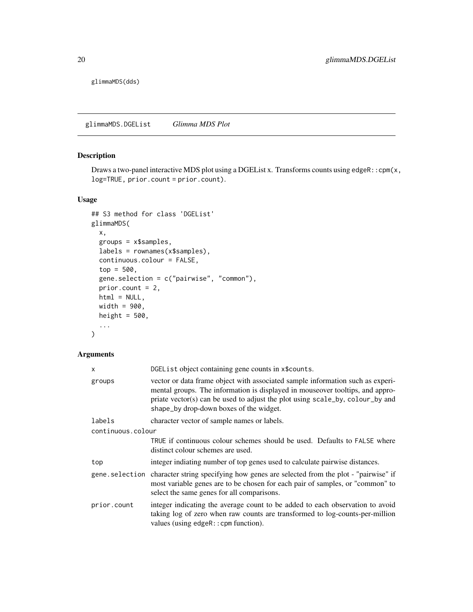<span id="page-19-0"></span>glimmaMDS(dds)

<span id="page-19-1"></span>glimmaMDS.DGEList *Glimma MDS Plot*

## Description

Draws a two-panel interactive MDS plot using a DGEList x. Transforms counts using edgeR:: cpm(x, log=TRUE, prior.count = prior.count).

## Usage

```
## S3 method for class 'DGEList'
glimmaMDS(
 x,
 groups = x$samples,
 labels = rownames(x$samples),
 continuous.colour = FALSE,
  top = 500,gene.selection = c("pairwise", "common"),
 prior.count = 2,
 html = NULL,width = 900,
 height = 500,
  ...
)
```

| $\times$          | DGEList object containing gene counts in x\$counts.                                                                                                                                                                                                                                           |
|-------------------|-----------------------------------------------------------------------------------------------------------------------------------------------------------------------------------------------------------------------------------------------------------------------------------------------|
| groups            | vector or data frame object with associated sample information such as experi-<br>mental groups. The information is displayed in mouse over tool tips, and appro-<br>priate vector(s) can be used to adjust the plot using scale_by, colour_by and<br>shape_by drop-down boxes of the widget. |
| labels            | character vector of sample names or labels.                                                                                                                                                                                                                                                   |
| continuous.colour |                                                                                                                                                                                                                                                                                               |
|                   | TRUE if continuous colour schemes should be used. Defaults to FALSE where<br>distinct colour schemes are used.                                                                                                                                                                                |
| top               | integer indiating number of top genes used to calculate pairwise distances.                                                                                                                                                                                                                   |
|                   | gene selection character string specifying how genes are selected from the plot - "pairwise" if<br>most variable genes are to be chosen for each pair of samples, or "common" to<br>select the same genes for all comparisons.                                                                |
| prior.count       | integer indicating the average count to be added to each observation to avoid<br>taking log of zero when raw counts are transformed to log-counts-per-million<br>values (using $edge:$ : cpm function).                                                                                       |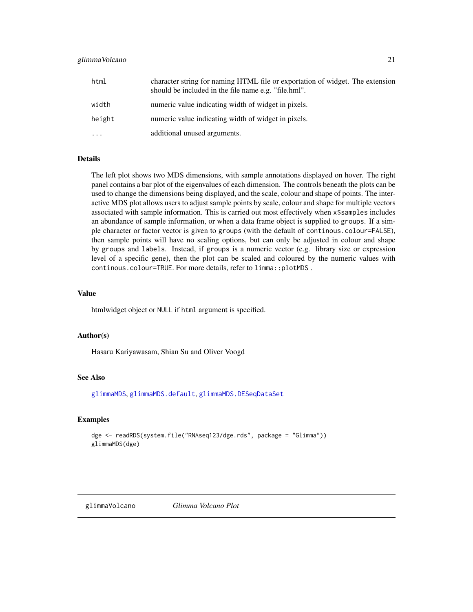#### <span id="page-20-0"></span>glimmaVolcano 21

| html     | character string for naming HTML file or exportation of widget. The extension<br>should be included in the file name e.g. "file.hml". |
|----------|---------------------------------------------------------------------------------------------------------------------------------------|
| width    | numeric value indicating width of widget in pixels.                                                                                   |
| height   | numeric value indicating width of widget in pixels.                                                                                   |
| $\cdots$ | additional unused arguments.                                                                                                          |

#### Details

The left plot shows two MDS dimensions, with sample annotations displayed on hover. The right panel contains a bar plot of the eigenvalues of each dimension. The controls beneath the plots can be used to change the dimensions being displayed, and the scale, colour and shape of points. The interactive MDS plot allows users to adjust sample points by scale, colour and shape for multiple vectors associated with sample information. This is carried out most effectively when x\$samples includes an abundance of sample information, or when a data frame object is supplied to groups. If a simple character or factor vector is given to groups (with the default of continous.colour=FALSE), then sample points will have no scaling options, but can only be adjusted in colour and shape by groups and labels. Instead, if groups is a numeric vector (e.g. library size or expression level of a specific gene), then the plot can be scaled and coloured by the numeric values with continous.colour=TRUE. For more details, refer to limma::plotMDS .

#### Value

htmlwidget object or NULL if html argument is specified.

#### Author(s)

Hasaru Kariyawasam, Shian Su and Oliver Voogd

## See Also

[glimmaMDS](#page-14-1), [glimmaMDS.default](#page-15-1), [glimmaMDS.DESeqDataSet](#page-17-1)

## Examples

```
dge <- readRDS(system.file("RNAseq123/dge.rds", package = "Glimma"))
glimmaMDS(dge)
```
<span id="page-20-1"></span>glimmaVolcano *Glimma Volcano Plot*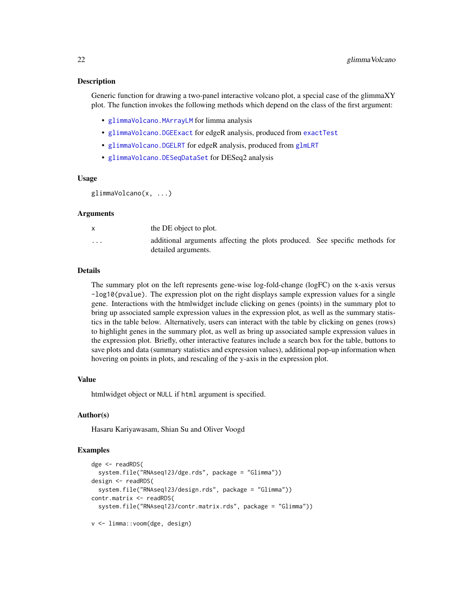#### <span id="page-21-0"></span>Description

Generic function for drawing a two-panel interactive volcano plot, a special case of the glimmaXY plot. The function invokes the following methods which depend on the class of the first argument:

- [glimmaVolcano.MArrayLM](#page-29-1) for limma analysis
- [glimmaVolcano.DGEExact](#page-24-1) for edgeR analysis, produced from [exactTest](#page-0-0)
- [glimmaVolcano.DGELRT](#page-26-1) for edgeR analysis, produced from [glmLRT](#page-0-0)
- [glimmaVolcano.DESeqDataSet](#page-22-1) for DESeq2 analysis

#### Usage

```
glimmaVolcano(x, ...)
```
#### Arguments

|                         | the DE object to plot.                                                                             |  |
|-------------------------|----------------------------------------------------------------------------------------------------|--|
| $\cdot$ $\cdot$ $\cdot$ | additional arguments affecting the plots produced. See specific methods for<br>detailed arguments. |  |

## Details

The summary plot on the left represents gene-wise log-fold-change (logFC) on the x-axis versus -log10(pvalue). The expression plot on the right displays sample expression values for a single gene. Interactions with the htmlwidget include clicking on genes (points) in the summary plot to bring up associated sample expression values in the expression plot, as well as the summary statistics in the table below. Alternatively, users can interact with the table by clicking on genes (rows) to highlight genes in the summary plot, as well as bring up associated sample expression values in the expression plot. Briefly, other interactive features include a search box for the table, buttons to save plots and data (summary statistics and expression values), additional pop-up information when hovering on points in plots, and rescaling of the y-axis in the expression plot.

## Value

htmlwidget object or NULL if html argument is specified.

## Author(s)

Hasaru Kariyawasam, Shian Su and Oliver Voogd

## Examples

```
dge <- readRDS(
 system.file("RNAseq123/dge.rds", package = "Glimma"))
design <- readRDS(
 system.file("RNAseq123/design.rds", package = "Glimma"))
contr.matrix <- readRDS(
 system.file("RNAseq123/contr.matrix.rds", package = "Glimma"))
```

```
v <- limma::voom(dge, design)
```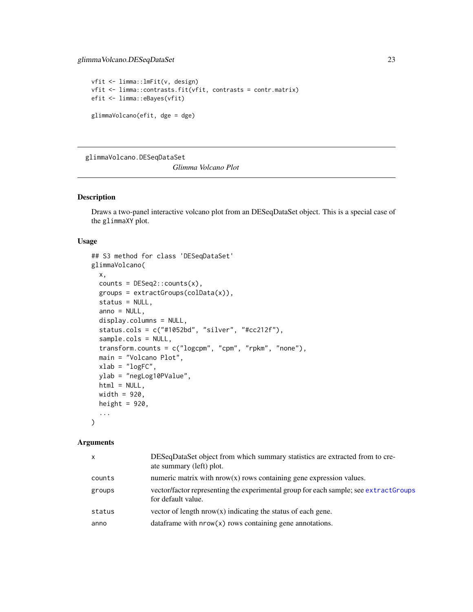## <span id="page-22-0"></span>glimmaVolcano.DESeqDataSet 23

```
vfit <- limma::lmFit(v, design)
vfit <- limma::contrasts.fit(vfit, contrasts = contr.matrix)
efit <- limma::eBayes(vfit)
glimmaVolcano(efit, dge = dge)
```
<span id="page-22-1"></span>glimmaVolcano.DESeqDataSet

*Glimma Volcano Plot*

#### Description

Draws a two-panel interactive volcano plot from an DESeqDataSet object. This is a special case of the glimmaXY plot.

## Usage

```
## S3 method for class 'DESeqDataSet'
glimmaVolcano(
 x,
 counts = DESeq2::counts(x),groups = extractGroups(colData(x)),
  status = NULL,
 anno = NULL,display.columns = NULL,
  status.cols = c("#1052bd", "silver", "#cc212f"),
  sample.cols = NULL,
  transform.counts = c("logcpm", "cpm", "rpkm", "none"),
 main = "Volcano Plot",
 xlab = "logFC",ylab = "negLog10PValue",
 html = NULL,width = 920,
 height = 920,
  ...
\mathcal{L}
```

| $\mathsf{x}$ | DESeqDataSet object from which summary statistics are extracted from to cre-<br>ate summary (left) plot.   |
|--------------|------------------------------------------------------------------------------------------------------------|
| counts       | numeric matrix with $nrow(x)$ rows containing gene expression values.                                      |
| groups       | vector/factor representing the experimental group for each sample; see extractGroups<br>for default value. |
| status       | vector of length $nrow(x)$ indicating the status of each gene.                                             |
| anno         | data frame with $nrow(x)$ rows containing gene annotations.                                                |
|              |                                                                                                            |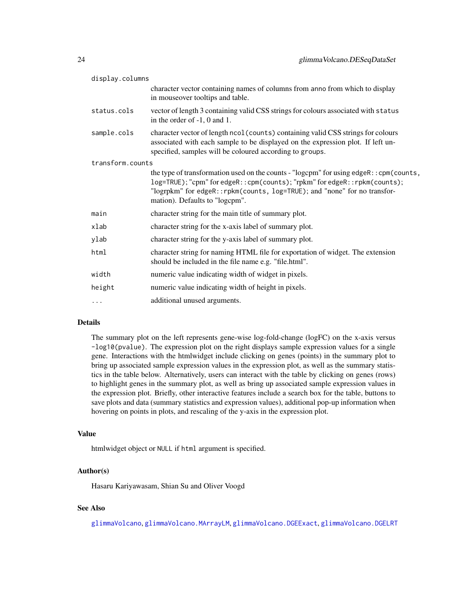<span id="page-23-0"></span>

| display.columns  |                                                                                                                                                                                                                                                                                     |
|------------------|-------------------------------------------------------------------------------------------------------------------------------------------------------------------------------------------------------------------------------------------------------------------------------------|
|                  | character vector containing names of columns from anno from which to display<br>in mouseover tooltips and table.                                                                                                                                                                    |
| status.cols      | vector of length 3 containing valid CSS strings for colours associated with status<br>in the order of $-1$ , 0 and 1.                                                                                                                                                               |
| sample.cols      | character vector of length ncol (counts) containing valid CSS strings for colours<br>associated with each sample to be displayed on the expression plot. If left un-<br>specified, samples will be coloured according to groups.                                                    |
| transform.counts |                                                                                                                                                                                                                                                                                     |
|                  | the type of transformation used on the counts - "logcpm" for using edgeR:: cpm(counts,<br>log=TRUE); "cpm" for edgeR:: cpm(counts); "rpkm" for edgeR:: rpkm(counts);<br>"logrpkm" for edgeR:: rpkm(counts, log=TRUE); and "none" for no transfor-<br>mation). Defaults to "logcpm". |
| main             | character string for the main title of summary plot.                                                                                                                                                                                                                                |
| xlab             | character string for the x-axis label of summary plot.                                                                                                                                                                                                                              |
| ylab             | character string for the y-axis label of summary plot.                                                                                                                                                                                                                              |
| html             | character string for naming HTML file for exportation of widget. The extension<br>should be included in the file name e.g. "file.html".                                                                                                                                             |
| width            | numeric value indicating width of widget in pixels.                                                                                                                                                                                                                                 |
| height           | numeric value indicating width of height in pixels.                                                                                                                                                                                                                                 |
| $\cdots$         | additional unused arguments.                                                                                                                                                                                                                                                        |
|                  |                                                                                                                                                                                                                                                                                     |

## Details

The summary plot on the left represents gene-wise log-fold-change (logFC) on the x-axis versus -log10(pvalue). The expression plot on the right displays sample expression values for a single gene. Interactions with the htmlwidget include clicking on genes (points) in the summary plot to bring up associated sample expression values in the expression plot, as well as the summary statistics in the table below. Alternatively, users can interact with the table by clicking on genes (rows) to highlight genes in the summary plot, as well as bring up associated sample expression values in the expression plot. Briefly, other interactive features include a search box for the table, buttons to save plots and data (summary statistics and expression values), additional pop-up information when hovering on points in plots, and rescaling of the y-axis in the expression plot.

#### Value

htmlwidget object or NULL if html argument is specified.

#### Author(s)

Hasaru Kariyawasam, Shian Su and Oliver Voogd

## See Also

[glimmaVolcano](#page-20-1), [glimmaVolcano.MArrayLM](#page-29-1), [glimmaVolcano.DGEExact](#page-24-1), [glimmaVolcano.DGELRT](#page-26-1)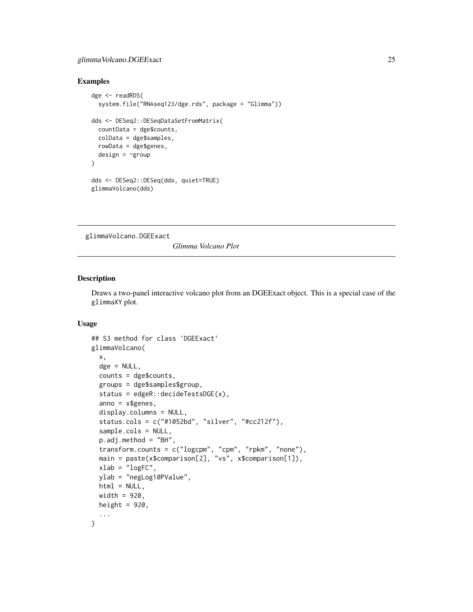## <span id="page-24-0"></span>glimmaVolcano.DGEExact 25

#### Examples

```
dge <- readRDS(
 system.file("RNAseq123/dge.rds", package = "Glimma"))
dds <- DESeq2::DESeqDataSetFromMatrix(
 countData = dge$counts,
 colData = dge$samples,
 rowData = dge$genes,
 design = ~group
)
dds <- DESeq2::DESeq(dds, quiet=TRUE)
glimmaVolcano(dds)
```
<span id="page-24-1"></span>glimmaVolcano.DGEExact

*Glimma Volcano Plot*

## Description

Draws a two-panel interactive volcano plot from an DGEExact object. This is a special case of the glimmaXY plot.

## Usage

```
## S3 method for class 'DGEExact'
glimmaVolcano(
 x,
  \text{dge} = \text{NULL},
  counts = dge$counts,
  groups = dge$samples$group,
  status = edgeR::decideTestsDGE(x),
  anno = x$genes,display.columns = NULL,
  status.cols = c("#1052bd", "silver", "#cc212f"),sample.cols = NULL,
  p.adj.method = "BH",
  transform.counts = c("logcpm", "cpm", "rpkm", "none"),
 main = paste(x$comparison[2], "vs", x$comparison[1]),
 xlab = "logFC",ylab = "negLog10PValue",
 html = NULL,width = 920.
 height = 920,
  ...
)
```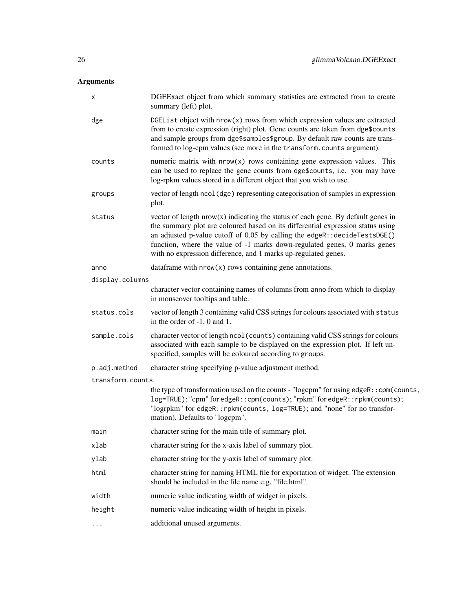| х                | DGEExact object from which summary statistics are extracted from to create<br>summary (left) plot.                                                                                                                                                                                                                                                                                                   |
|------------------|------------------------------------------------------------------------------------------------------------------------------------------------------------------------------------------------------------------------------------------------------------------------------------------------------------------------------------------------------------------------------------------------------|
| dge              | DGEList object with $nrow(x)$ rows from which expression values are extracted<br>from to create expression (right) plot. Gene counts are taken from dge\$counts<br>and sample groups from dge\$samples\$group. By default raw counts are trans-<br>formed to log-cpm values (see more in the transform.counts argument).                                                                             |
| counts           | numeric matrix with nrow(x) rows containing gene expression values. This<br>can be used to replace the gene counts from dge\$counts, i.e. you may have<br>log-rpkm values stored in a different object that you wish to use.                                                                                                                                                                         |
| groups           | vector of length ncol (dge) representing categorisation of samples in expression<br>plot.                                                                                                                                                                                                                                                                                                            |
| status           | vector of length $nrow(x)$ indicating the status of each gene. By default genes in<br>the summary plot are coloured based on its differential expression status using<br>an adjusted p-value cutoff of $0.05$ by calling the edgeR:: decideTestsDGE()<br>function, where the value of -1 marks down-regulated genes, 0 marks genes<br>with no expression difference, and 1 marks up-regulated genes. |
| anno             | data frame with $nrow(x)$ rows containing gene annotations.                                                                                                                                                                                                                                                                                                                                          |
| display.columns  |                                                                                                                                                                                                                                                                                                                                                                                                      |
|                  | character vector containing names of columns from anno from which to display<br>in mouseover tooltips and table.                                                                                                                                                                                                                                                                                     |
| status.cols      | vector of length 3 containing valid CSS strings for colours associated with status<br>in the order of $-1$ , 0 and 1.                                                                                                                                                                                                                                                                                |
| sample.cols      | character vector of length ncol (counts) containing valid CSS strings for colours<br>associated with each sample to be displayed on the expression plot. If left un-<br>specified, samples will be coloured according to groups.                                                                                                                                                                     |
| p.adj.method     | character string specifying p-value adjustment method.                                                                                                                                                                                                                                                                                                                                               |
| transform.counts |                                                                                                                                                                                                                                                                                                                                                                                                      |
|                  | the type of transformation used on the counts - "logcpm" for using edgeR:: cpm(counts,<br>log=TRUE); "cpm" for edgeR:: cpm(counts); "rpkm" for edgeR:: rpkm(counts);<br>"logrpkm" for edgeR:: rpkm(counts, log=TRUE); and "none" for no transfor-<br>mation). Defaults to "logcpm".                                                                                                                  |
| main             | character string for the main title of summary plot.                                                                                                                                                                                                                                                                                                                                                 |
| xlab             | character string for the x-axis label of summary plot.                                                                                                                                                                                                                                                                                                                                               |
| ylab             | character string for the y-axis label of summary plot.                                                                                                                                                                                                                                                                                                                                               |
| html             | character string for naming HTML file for exportation of widget. The extension<br>should be included in the file name e.g. "file.html".                                                                                                                                                                                                                                                              |
| width            | numeric value indicating width of widget in pixels.                                                                                                                                                                                                                                                                                                                                                  |
| height           | numeric value indicating width of height in pixels.                                                                                                                                                                                                                                                                                                                                                  |
| $\cdots$         | additional unused arguments.                                                                                                                                                                                                                                                                                                                                                                         |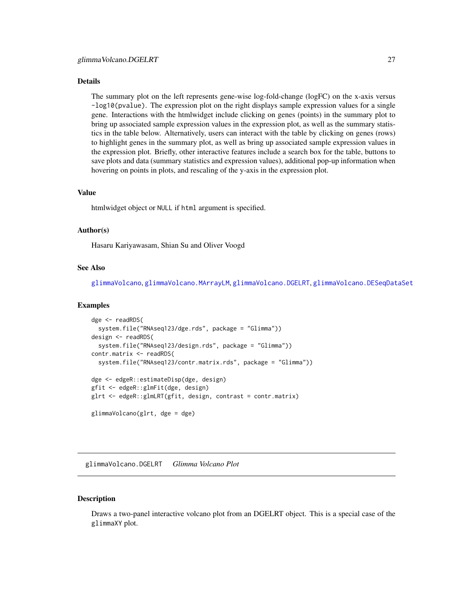#### <span id="page-26-0"></span>Details

The summary plot on the left represents gene-wise log-fold-change (logFC) on the x-axis versus -log10(pvalue). The expression plot on the right displays sample expression values for a single gene. Interactions with the htmlwidget include clicking on genes (points) in the summary plot to bring up associated sample expression values in the expression plot, as well as the summary statistics in the table below. Alternatively, users can interact with the table by clicking on genes (rows) to highlight genes in the summary plot, as well as bring up associated sample expression values in the expression plot. Briefly, other interactive features include a search box for the table, buttons to save plots and data (summary statistics and expression values), additional pop-up information when hovering on points in plots, and rescaling of the y-axis in the expression plot.

#### Value

htmlwidget object or NULL if html argument is specified.

#### Author(s)

Hasaru Kariyawasam, Shian Su and Oliver Voogd

## See Also

[glimmaVolcano](#page-20-1), [glimmaVolcano.MArrayLM](#page-29-1), [glimmaVolcano.DGELRT](#page-26-1), [glimmaVolcano.DESeqDataSet](#page-22-1)

#### Examples

```
dge <- readRDS(
 system.file("RNAseq123/dge.rds", package = "Glimma"))
design <- readRDS(
 system.file("RNAseq123/design.rds", package = "Glimma"))
contr.matrix <- readRDS(
 system.file("RNAseq123/contr.matrix.rds", package = "Glimma"))
dge <- edgeR::estimateDisp(dge, design)
gfit <- edgeR::glmFit(dge, design)
glrt <- edgeR::glmLRT(gfit, design, contrast = contr.matrix)
glimmaVolcano(glrt, dge = dge)
```
<span id="page-26-1"></span>glimmaVolcano.DGELRT *Glimma Volcano Plot*

#### **Description**

Draws a two-panel interactive volcano plot from an DGELRT object. This is a special case of the glimmaXY plot.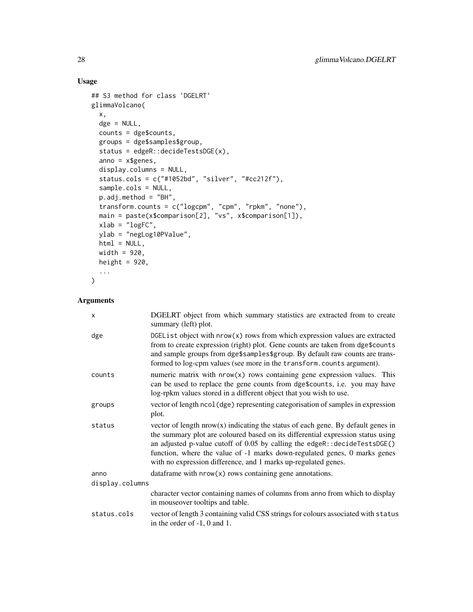## Usage

```
## S3 method for class 'DGELRT'
glimmaVolcano(
  x,
  dge = NULL,
  counts = dge$counts,
  groups = dge$samples$group,
  status = edgeR::decideTestsDGE(x),
  anno = x$genes,
 display.columns = NULL,
  status.cols = c("#1052bd", "silver", "#cc212f"),
  sample.cols = NULL,
 p.adj.method = "BH",
  transform.counts = c("logcpm", "cpm", "rpkm", "none"),
 main = paste(x$comparison[2], "vs", x$comparison[1]),
 xlab = "logFC",ylab = "negLog10PValue",
 html = NULL,width = 920.
 height = 920,
  ...
\mathcal{L}
```

| $\times$        | DGELRT object from which summary statistics are extracted from to create<br>summary (left) plot.                                                                                                                                                                                                                                                                                                   |
|-----------------|----------------------------------------------------------------------------------------------------------------------------------------------------------------------------------------------------------------------------------------------------------------------------------------------------------------------------------------------------------------------------------------------------|
| dge             | DGEL is t object with $nrow(x)$ rows from which expression values are extracted<br>from to create expression (right) plot. Gene counts are taken from dge\$counts<br>and sample groups from dge\$samples\$group. By default raw counts are trans-<br>formed to log-cpm values (see more in the transform.counts argument).                                                                         |
| counts          | numeric matrix with $nrow(x)$ rows containing gene expression values. This<br>can be used to replace the gene counts from dge\$counts, i.e. you may have<br>log-rpkm values stored in a different object that you wish to use.                                                                                                                                                                     |
| groups          | vector of length ncol (dge) representing categorisation of samples in expression<br>plot.                                                                                                                                                                                                                                                                                                          |
| status          | vector of length $nrow(x)$ indicating the status of each gene. By default genes in<br>the summary plot are coloured based on its differential expression status using<br>an adjusted p-value cutoff of 0.05 by calling the edgeR:: decideTestsDGE()<br>function, where the value of -1 marks down-regulated genes, 0 marks genes<br>with no expression difference, and 1 marks up-regulated genes. |
| anno            | data frame with $nrow(x)$ rows containing gene annotations.                                                                                                                                                                                                                                                                                                                                        |
| display.columns |                                                                                                                                                                                                                                                                                                                                                                                                    |
|                 | character vector containing names of columns from anno from which to display<br>in mouseover tooltips and table.                                                                                                                                                                                                                                                                                   |
| status.cols     | vector of length 3 containing valid CSS strings for colours associated with status<br>in the order of $-1$ , 0 and 1.                                                                                                                                                                                                                                                                              |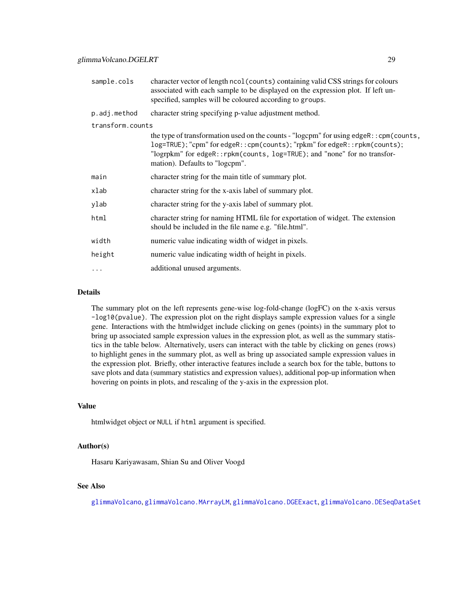<span id="page-28-0"></span>

| sample.cols      | character vector of length ncol (counts) containing valid CSS strings for colours<br>associated with each sample to be displayed on the expression plot. If left un-<br>specified, samples will be coloured according to groups.                                                   |
|------------------|------------------------------------------------------------------------------------------------------------------------------------------------------------------------------------------------------------------------------------------------------------------------------------|
| p.adj.method     | character string specifying p-value adjustment method.                                                                                                                                                                                                                             |
| transform.counts |                                                                                                                                                                                                                                                                                    |
|                  | the type of transformation used on the counts - "logcpm" for using edgeR:: cpm(counts,<br>log=TRUE); "cpm" for edgeR:: cpm(counts); "rpkm" for edgeR:: rpkm(counts);<br>"logrpkm" for edgeR::rpkm(counts, log=TRUE); and "none" for no transfor-<br>mation). Defaults to "logcpm". |
| main             | character string for the main title of summary plot.                                                                                                                                                                                                                               |
| xlab             | character string for the x-axis label of summary plot.                                                                                                                                                                                                                             |
| ylab             | character string for the y-axis label of summary plot.                                                                                                                                                                                                                             |
| html             | character string for naming HTML file for exportation of widget. The extension<br>should be included in the file name e.g. "file.html".                                                                                                                                            |
| width            | numeric value indicating width of widget in pixels.                                                                                                                                                                                                                                |
| height           | numeric value indicating width of height in pixels.                                                                                                                                                                                                                                |
| $\ddotsc$        | additional unused arguments.                                                                                                                                                                                                                                                       |
|                  |                                                                                                                                                                                                                                                                                    |

## Details

The summary plot on the left represents gene-wise log-fold-change (logFC) on the x-axis versus -log10(pvalue). The expression plot on the right displays sample expression values for a single gene. Interactions with the htmlwidget include clicking on genes (points) in the summary plot to bring up associated sample expression values in the expression plot, as well as the summary statistics in the table below. Alternatively, users can interact with the table by clicking on genes (rows) to highlight genes in the summary plot, as well as bring up associated sample expression values in the expression plot. Briefly, other interactive features include a search box for the table, buttons to save plots and data (summary statistics and expression values), additional pop-up information when hovering on points in plots, and rescaling of the y-axis in the expression plot.

#### Value

htmlwidget object or NULL if html argument is specified.

## Author(s)

Hasaru Kariyawasam, Shian Su and Oliver Voogd

## See Also

[glimmaVolcano](#page-20-1), [glimmaVolcano.MArrayLM](#page-29-1), [glimmaVolcano.DGEExact](#page-24-1), [glimmaVolcano.DESeqDataSet](#page-22-1)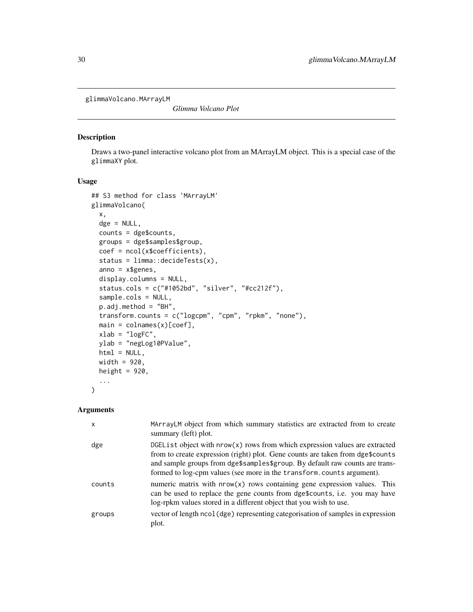<span id="page-29-1"></span><span id="page-29-0"></span>glimmaVolcano.MArrayLM

*Glimma Volcano Plot*

## Description

Draws a two-panel interactive volcano plot from an MArrayLM object. This is a special case of the glimmaXY plot.

#### Usage

```
## S3 method for class 'MArrayLM'
glimmaVolcano(
  x,
 \text{dge} = \text{NULL},
  counts = dge$counts,
 groups = dge$samples$group,
 coef = ncol(x$coefficients),
  status = limma:: decideTests(x),
  anno = x$genes,
 display.columns = NULL,
  status.cols = c("#1052bd", "silver", "#cc212f"),
  sample.cols = NULL,
 p.adj.method = "BH",
  transform.counts = c("logcpm", "cpm", "rpkm", "none"),
 main = colnames(x)[coef],
 xlab = "logFC",ylab = "negLog10PValue",
 html = NULL,width = 920,
 height = 920,
  ...
\mathcal{L}
```

| $\mathsf{x}$ | MArrayLM object from which summary statistics are extracted from to create<br>summary (left) plot.                                                                                                                                                                                                                         |
|--------------|----------------------------------------------------------------------------------------------------------------------------------------------------------------------------------------------------------------------------------------------------------------------------------------------------------------------------|
| dge          | DGEL is t object with $nrow(x)$ rows from which expression values are extracted<br>from to create expression (right) plot. Gene counts are taken from dge\$counts<br>and sample groups from dge\$samples\$group. By default raw counts are trans-<br>formed to log-cpm values (see more in the transform.counts argument). |
| counts       | numeric matrix with $nrow(x)$ rows containing gene expression values. This<br>can be used to replace the gene counts from dge\$counts, i.e. you may have<br>log-rpkm values stored in a different object that you wish to use.                                                                                             |
| groups       | vector of length ncol (dge) representing categorisation of samples in expression<br>plot.                                                                                                                                                                                                                                  |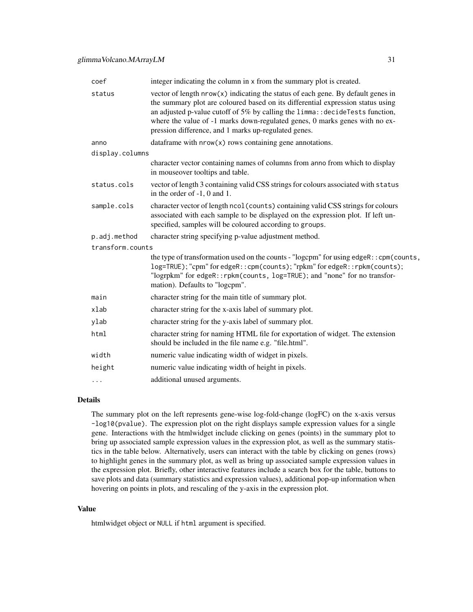| coef             | integer indicating the column in x from the summary plot is created.                                                                                                                                                                                                                                                                                                                           |
|------------------|------------------------------------------------------------------------------------------------------------------------------------------------------------------------------------------------------------------------------------------------------------------------------------------------------------------------------------------------------------------------------------------------|
| status           | vector of length $nrow(x)$ indicating the status of each gene. By default genes in<br>the summary plot are coloured based on its differential expression status using<br>an adjusted p-value cutoff of 5% by calling the limma: : decideTests function,<br>where the value of -1 marks down-regulated genes, 0 marks genes with no ex-<br>pression difference, and 1 marks up-regulated genes. |
| anno             | data frame with $nrow(x)$ rows containing gene annotations.                                                                                                                                                                                                                                                                                                                                    |
| display.columns  |                                                                                                                                                                                                                                                                                                                                                                                                |
|                  | character vector containing names of columns from anno from which to display<br>in mouseover tooltips and table.                                                                                                                                                                                                                                                                               |
| status.cols      | vector of length 3 containing valid CSS strings for colours associated with status<br>in the order of -1, 0 and 1.                                                                                                                                                                                                                                                                             |
| sample.cols      | character vector of length ncol (counts) containing valid CSS strings for colours<br>associated with each sample to be displayed on the expression plot. If left un-<br>specified, samples will be coloured according to groups.                                                                                                                                                               |
| p.adj.method     | character string specifying p-value adjustment method.                                                                                                                                                                                                                                                                                                                                         |
| transform.counts |                                                                                                                                                                                                                                                                                                                                                                                                |
|                  | the type of transformation used on the counts - "logcpm" for using edgeR:: cpm(counts,<br>log=TRUE); "cpm" for edgeR:: cpm(counts); "rpkm" for edgeR:: rpkm(counts);<br>"logrpkm" for edgeR:: rpkm(counts, log=TRUE); and "none" for no transfor-<br>mation). Defaults to "logcpm".                                                                                                            |
| main             | character string for the main title of summary plot.                                                                                                                                                                                                                                                                                                                                           |
| xlab             | character string for the x-axis label of summary plot.                                                                                                                                                                                                                                                                                                                                         |
| ylab             | character string for the y-axis label of summary plot.                                                                                                                                                                                                                                                                                                                                         |
| html             | character string for naming HTML file for exportation of widget. The extension<br>should be included in the file name e.g. "file.html".                                                                                                                                                                                                                                                        |
| width            | numeric value indicating width of widget in pixels.                                                                                                                                                                                                                                                                                                                                            |
| height           | numeric value indicating width of height in pixels.                                                                                                                                                                                                                                                                                                                                            |
| $\cdots$         | additional unused arguments.                                                                                                                                                                                                                                                                                                                                                                   |
|                  |                                                                                                                                                                                                                                                                                                                                                                                                |

## Details

The summary plot on the left represents gene-wise log-fold-change (logFC) on the x-axis versus -log10(pvalue). The expression plot on the right displays sample expression values for a single gene. Interactions with the htmlwidget include clicking on genes (points) in the summary plot to bring up associated sample expression values in the expression plot, as well as the summary statistics in the table below. Alternatively, users can interact with the table by clicking on genes (rows) to highlight genes in the summary plot, as well as bring up associated sample expression values in the expression plot. Briefly, other interactive features include a search box for the table, buttons to save plots and data (summary statistics and expression values), additional pop-up information when hovering on points in plots, and rescaling of the y-axis in the expression plot.

## Value

htmlwidget object or NULL if html argument is specified.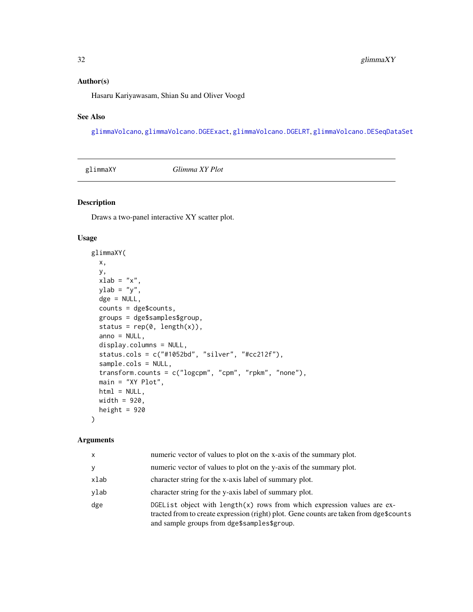## <span id="page-31-0"></span>Author(s)

Hasaru Kariyawasam, Shian Su and Oliver Voogd

## See Also

[glimmaVolcano](#page-20-1), [glimmaVolcano.DGEExact](#page-24-1), [glimmaVolcano.DGELRT](#page-26-1), [glimmaVolcano.DESeqDataSet](#page-22-1)

| glimmaXY | Glimma XY Plot |
|----------|----------------|
|----------|----------------|

## Description

Draws a two-panel interactive XY scatter plot.

## Usage

```
glimmaXY(
 x,
 y,
 xlab = "x",
 ylab = "y",
 \text{dge} = \text{NULL},
  counts = dge$counts,
  groups = dge$samples$group,
  status = rep(0, length(x)),anno = NULL,display.columns = NULL,
  status.cols = c("#1052bd", "silver", "#cc212f"),
  sample.cols = NULL,
  transform.counts = c("logcpm", "cpm", "rpkm", "none"),
  main = "XY Plot",
 html = NULL,width = 920,
 height = 920
```
## $\mathcal{L}$

| $\mathsf{x}$ | numeric vector of values to plot on the x-axis of the summary plot.                                                                                                                                                |
|--------------|--------------------------------------------------------------------------------------------------------------------------------------------------------------------------------------------------------------------|
| y            | numeric vector of values to plot on the y-axis of the summary plot.                                                                                                                                                |
| xlab         | character string for the x-axis label of summary plot.                                                                                                                                                             |
| ylab         | character string for the y-axis label of summary plot.                                                                                                                                                             |
| dge          | DGEList object with $length(x)$ rows from which expression values are ex-<br>tracted from to create expression (right) plot. Gene counts are taken from dge\$counts<br>and sample groups from dge\$samples\$group. |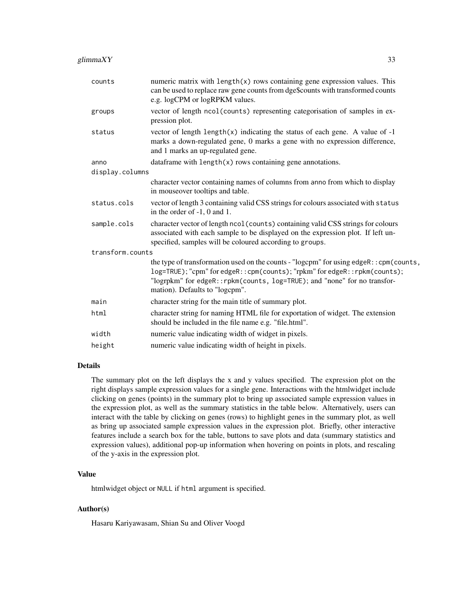| counts           | numeric matrix with $length(x)$ rows containing gene expression values. This<br>can be used to replace raw gene counts from dge\$counts with transformed counts<br>e.g. logCPM or logRPKM values.                                                                                   |
|------------------|-------------------------------------------------------------------------------------------------------------------------------------------------------------------------------------------------------------------------------------------------------------------------------------|
| groups           | vector of length ncol(counts) representing categorisation of samples in ex-<br>pression plot.                                                                                                                                                                                       |
| status           | vector of length $\text{length}(x)$ indicating the status of each gene. A value of -1<br>marks a down-regulated gene, 0 marks a gene with no expression difference,<br>and 1 marks an up-regulated gene.                                                                            |
| anno             | data frame with $length(x)$ rows containing gene annotations.                                                                                                                                                                                                                       |
| display.columns  |                                                                                                                                                                                                                                                                                     |
|                  | character vector containing names of columns from anno from which to display<br>in mouseover tooltips and table.                                                                                                                                                                    |
| status.cols      | vector of length 3 containing valid CSS strings for colours associated with status<br>in the order of $-1$ , 0 and 1.                                                                                                                                                               |
| sample.cols      | character vector of length ncol (counts) containing valid CSS strings for colours<br>associated with each sample to be displayed on the expression plot. If left un-<br>specified, samples will be coloured according to groups.                                                    |
| transform.counts |                                                                                                                                                                                                                                                                                     |
|                  | the type of transformation used on the counts - "logcpm" for using edgeR:: cpm(counts,<br>log=TRUE); "cpm" for edgeR:: cpm(counts); "rpkm" for edgeR:: rpkm(counts);<br>"logrpkm" for edgeR:: rpkm(counts, log=TRUE); and "none" for no transfor-<br>mation). Defaults to "logcpm". |
| main             | character string for the main title of summary plot.                                                                                                                                                                                                                                |
| html             | character string for naming HTML file for exportation of widget. The extension<br>should be included in the file name e.g. "file.html".                                                                                                                                             |
| width            | numeric value indicating width of widget in pixels.                                                                                                                                                                                                                                 |
| height           | numeric value indicating width of height in pixels.                                                                                                                                                                                                                                 |

## Details

The summary plot on the left displays the x and y values specified. The expression plot on the right displays sample expression values for a single gene. Interactions with the htmlwidget include clicking on genes (points) in the summary plot to bring up associated sample expression values in the expression plot, as well as the summary statistics in the table below. Alternatively, users can interact with the table by clicking on genes (rows) to highlight genes in the summary plot, as well as bring up associated sample expression values in the expression plot. Briefly, other interactive features include a search box for the table, buttons to save plots and data (summary statistics and expression values), additional pop-up information when hovering on points in plots, and rescaling of the y-axis in the expression plot.

## Value

htmlwidget object or NULL if html argument is specified.

## Author(s)

Hasaru Kariyawasam, Shian Su and Oliver Voogd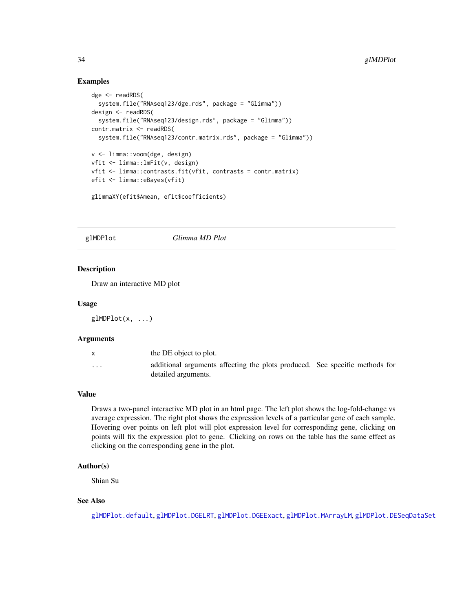## Examples

```
dge <- readRDS(
  system.file("RNAseq123/dge.rds", package = "Glimma"))
design <- readRDS(
  system.file("RNAseq123/design.rds", package = "Glimma"))
contr.matrix <- readRDS(
  system.file("RNAseq123/contr.matrix.rds", package = "Glimma"))
v <- limma::voom(dge, design)
vfit <- limma::lmFit(v, design)
vfit <- limma::contrasts.fit(vfit, contrasts = contr.matrix)
efit <- limma::eBayes(vfit)
glimmaXY(efit$Amean, efit$coefficients)
```
<span id="page-33-1"></span>glMDPlot *Glimma MD Plot*

### Description

Draw an interactive MD plot

#### Usage

glMDPlot(x, ...)

#### Arguments

|                         | the DE object to plot.                                                                             |  |
|-------------------------|----------------------------------------------------------------------------------------------------|--|
| $\cdot$ $\cdot$ $\cdot$ | additional arguments affecting the plots produced. See specific methods for<br>detailed arguments. |  |

## Value

Draws a two-panel interactive MD plot in an html page. The left plot shows the log-fold-change vs average expression. The right plot shows the expression levels of a particular gene of each sample. Hovering over points on left plot will plot expression level for corresponding gene, clicking on points will fix the expression plot to gene. Clicking on rows on the table has the same effect as clicking on the corresponding gene in the plot.

## Author(s)

Shian Su

## See Also

[glMDPlot.default](#page-34-1), [glMDPlot.DGELRT](#page-42-1), [glMDPlot.DGEExact](#page-40-1), [glMDPlot.MArrayLM](#page-44-1), [glMDPlot.DESeqDataSet](#page-36-1)

<span id="page-33-0"></span>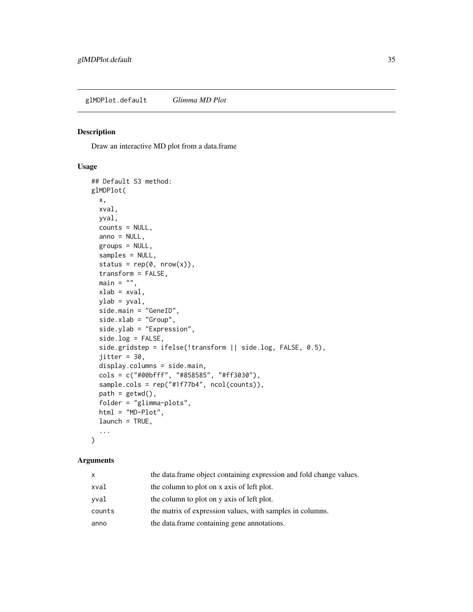<span id="page-34-1"></span><span id="page-34-0"></span>glMDPlot.default *Glimma MD Plot*

## Description

Draw an interactive MD plot from a data.frame

#### Usage

```
## Default S3 method:
glMDPlot(
 x,
 xval,
 yval,
  counts = NULL,
  anno = NULL,groups = NULL,
  samples = NULL,
  status = rep(\emptyset, nrow(x)),transform = FALSE,
  main = "",xlab = xval,
  ylab = yval,
  side.main = "GeneID",
  side.xlab = "Group",
  side.ylab = "Expression",
  side.log = FALSE,
  side.gridstep = ifelse(!transform || side.log, FALSE, 0.5),
  jitter = 30,
  display.columns = side.main,
  cols = c("#00bfff", "#858585", "#ff3030"),
  sample.cols = rep("#1f77b4", ncol(counts)),
  path = getwd(),
  folder = "glimma-plots",
  html = "MD-Plot",
  launch = TRUE,
  ...
\mathcal{E}
```

| <b>X</b> | the data.frame object containing expression and fold change values. |
|----------|---------------------------------------------------------------------|
| xval     | the column to plot on x axis of left plot.                          |
| vval     | the column to plot on y axis of left plot.                          |
| counts   | the matrix of expression values, with samples in columns.           |
| anno     | the data.frame containing gene annotations.                         |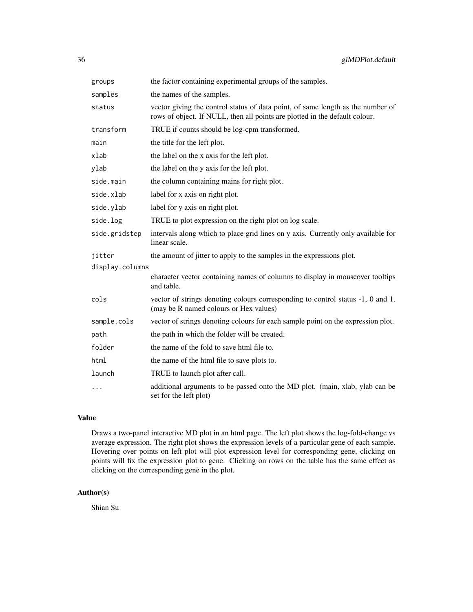| groups          | the factor containing experimental groups of the samples.                                                                                                      |  |
|-----------------|----------------------------------------------------------------------------------------------------------------------------------------------------------------|--|
| samples         | the names of the samples.                                                                                                                                      |  |
| status          | vector giving the control status of data point, of same length as the number of<br>rows of object. If NULL, then all points are plotted in the default colour. |  |
| transform       | TRUE if counts should be log-cpm transformed.                                                                                                                  |  |
| main            | the title for the left plot.                                                                                                                                   |  |
| xlab            | the label on the x axis for the left plot.                                                                                                                     |  |
| ylab            | the label on the y axis for the left plot.                                                                                                                     |  |
| side.main       | the column containing mains for right plot.                                                                                                                    |  |
| side.xlab       | label for x axis on right plot.                                                                                                                                |  |
| side.ylab       | label for y axis on right plot.                                                                                                                                |  |
| side.log        | TRUE to plot expression on the right plot on log scale.                                                                                                        |  |
| side.gridstep   | intervals along which to place grid lines on y axis. Currently only available for<br>linear scale.                                                             |  |
| jitter          | the amount of jitter to apply to the samples in the expressions plot.                                                                                          |  |
| display.columns |                                                                                                                                                                |  |
|                 | character vector containing names of columns to display in mouseover tooltips<br>and table.                                                                    |  |
| cols            | vector of strings denoting colours corresponding to control status -1, 0 and 1.<br>(may be R named colours or Hex values)                                      |  |
| sample.cols     | vector of strings denoting colours for each sample point on the expression plot.                                                                               |  |
| path            | the path in which the folder will be created.                                                                                                                  |  |
| folder          | the name of the fold to save html file to.                                                                                                                     |  |
| html            | the name of the html file to save plots to.                                                                                                                    |  |
| launch          | TRUE to launch plot after call.                                                                                                                                |  |
| $\cdots$        | additional arguments to be passed onto the MD plot. (main, xlab, ylab can be<br>set for the left plot)                                                         |  |

## Value

Draws a two-panel interactive MD plot in an html page. The left plot shows the log-fold-change vs average expression. The right plot shows the expression levels of a particular gene of each sample. Hovering over points on left plot will plot expression level for corresponding gene, clicking on points will fix the expression plot to gene. Clicking on rows on the table has the same effect as clicking on the corresponding gene in the plot.

## Author(s)

Shian Su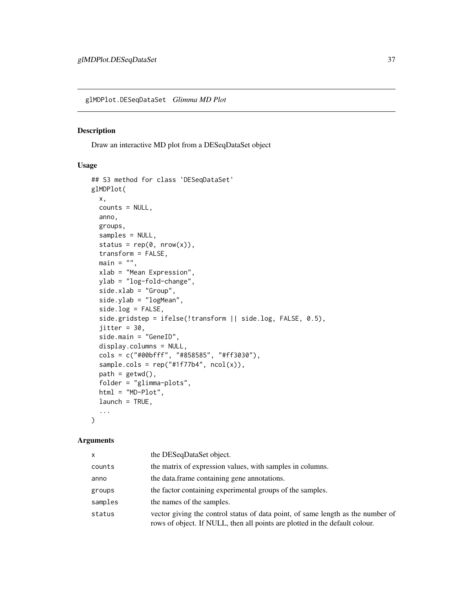<span id="page-36-1"></span><span id="page-36-0"></span>glMDPlot.DESeqDataSet *Glimma MD Plot*

#### Description

Draw an interactive MD plot from a DESeqDataSet object

## Usage

```
## S3 method for class 'DESeqDataSet'
glMDPlot(
 x,
 counts = NULL,
 anno,
 groups,
 samples = NULL,
  status = rep(0, nrow(x)),transform = FALSE,
 main = "",xlab = "Mean Expression",
 ylab = "log-fold-change",
  side.xlab = "Group",
 side.ylab = "logMean",
  side.log = FALSE,
  side.gridstep = ifelse(!transform || side.log, FALSE, 0.5),
  jitter = 30,
 side.main = "GeneID",
  display.columns = NULL,
  cols = c("#00bfff", "#858585", "#ff3030"),
  sample.cols = rep("#1f77b4", ncol(x)),path = getwd(),
  folder = "glimma-plots",
 html = "MD-Plot",
  launch = TRUE,
  ...
\mathcal{L}
```

| x       | the DESeqDataSet object.                                                                                                                                       |
|---------|----------------------------------------------------------------------------------------------------------------------------------------------------------------|
| counts  | the matrix of expression values, with samples in columns.                                                                                                      |
| anno    | the data.frame containing gene annotations.                                                                                                                    |
| groups  | the factor containing experimental groups of the samples.                                                                                                      |
| samples | the names of the samples.                                                                                                                                      |
| status  | vector giving the control status of data point, of same length as the number of<br>rows of object. If NULL, then all points are plotted in the default colour. |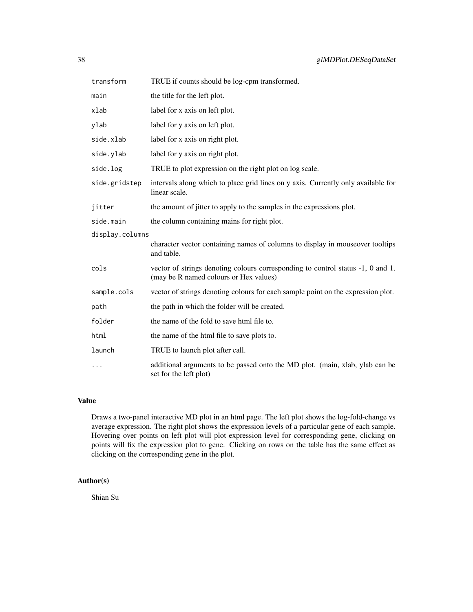| transform       | TRUE if counts should be log-cpm transformed.                                                                             |
|-----------------|---------------------------------------------------------------------------------------------------------------------------|
| main            | the title for the left plot.                                                                                              |
| xlab            | label for x axis on left plot.                                                                                            |
| ylab            | label for y axis on left plot.                                                                                            |
| side.xlab       | label for x axis on right plot.                                                                                           |
| side.ylab       | label for y axis on right plot.                                                                                           |
| side.log        | TRUE to plot expression on the right plot on log scale.                                                                   |
| side.gridstep   | intervals along which to place grid lines on y axis. Currently only available for<br>linear scale.                        |
| jitter          | the amount of jitter to apply to the samples in the expressions plot.                                                     |
| side.main       | the column containing mains for right plot.                                                                               |
| display.columns |                                                                                                                           |
|                 | character vector containing names of columns to display in mouseover tooltips<br>and table.                               |
| cols            | vector of strings denoting colours corresponding to control status -1, 0 and 1.<br>(may be R named colours or Hex values) |
| sample.cols     | vector of strings denoting colours for each sample point on the expression plot.                                          |
| path            | the path in which the folder will be created.                                                                             |
| folder          | the name of the fold to save html file to.                                                                                |
| html            | the name of the html file to save plots to.                                                                               |
| launch          | TRUE to launch plot after call.                                                                                           |
| $\cdots$        | additional arguments to be passed onto the MD plot. (main, xlab, ylab can be<br>set for the left plot)                    |

## Value

Draws a two-panel interactive MD plot in an html page. The left plot shows the log-fold-change vs average expression. The right plot shows the expression levels of a particular gene of each sample. Hovering over points on left plot will plot expression level for corresponding gene, clicking on points will fix the expression plot to gene. Clicking on rows on the table has the same effect as clicking on the corresponding gene in the plot.

## Author(s)

Shian Su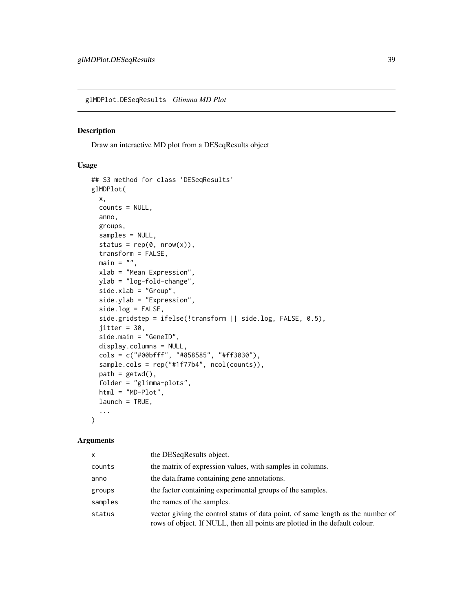<span id="page-38-0"></span>glMDPlot.DESeqResults *Glimma MD Plot*

#### Description

Draw an interactive MD plot from a DESeqResults object

## Usage

```
## S3 method for class 'DESeqResults'
glMDPlot(
 x,
 counts = NULL,
 anno,
 groups,
 samples = NULL,
  status = rep(0, nrow(x)),transform = FALSE,
 main = "",xlab = "Mean Expression",
 ylab = "log-fold-change",
  side.xlab = "Group",
 side.ylab = "Expression",
  side.log = FALSE,
  side.gridstep = ifelse(!transform || side.log, FALSE, 0.5),
  jitter = 30,
 side.main = "GeneID",
  display.columns = NULL,
  cols = c("#00bfff", "#858585", "#ff3030"),
  sample.cols = rep("#1f77b4", ncol(counts)),
 path = getwd(),
  folder = "glimma-plots",
 html = "MD-Plot",
  launch = TRUE,
  ...
\mathcal{E}
```

| X       | the DESeqResults object.                                                                                                                                       |
|---------|----------------------------------------------------------------------------------------------------------------------------------------------------------------|
| counts  | the matrix of expression values, with samples in columns.                                                                                                      |
| anno    | the data.frame containing gene annotations.                                                                                                                    |
| groups  | the factor containing experimental groups of the samples.                                                                                                      |
| samples | the names of the samples.                                                                                                                                      |
| status  | vector giving the control status of data point, of same length as the number of<br>rows of object. If NULL, then all points are plotted in the default colour. |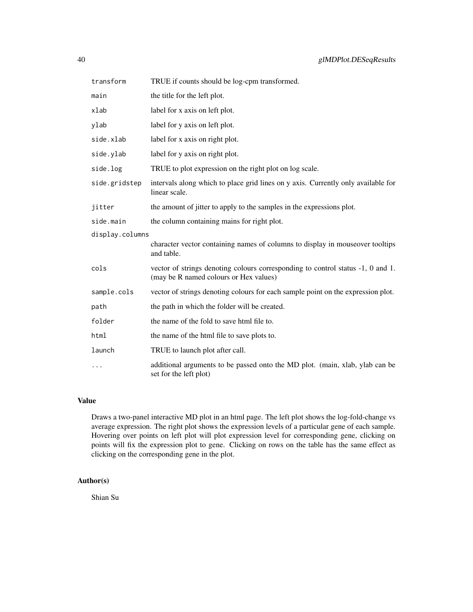| transform       | TRUE if counts should be log-cpm transformed.                                                                             |  |
|-----------------|---------------------------------------------------------------------------------------------------------------------------|--|
| main            | the title for the left plot.                                                                                              |  |
| xlab            | label for x axis on left plot.                                                                                            |  |
| ylab            | label for y axis on left plot.                                                                                            |  |
| side.xlab       | label for x axis on right plot.                                                                                           |  |
| side.ylab       | label for y axis on right plot.                                                                                           |  |
| side.log        | TRUE to plot expression on the right plot on log scale.                                                                   |  |
| side.gridstep   | intervals along which to place grid lines on y axis. Currently only available for<br>linear scale.                        |  |
| jitter          | the amount of jitter to apply to the samples in the expressions plot.                                                     |  |
| side.main       | the column containing mains for right plot.                                                                               |  |
| display.columns |                                                                                                                           |  |
|                 | character vector containing names of columns to display in mouseover tooltips<br>and table.                               |  |
| cols            | vector of strings denoting colours corresponding to control status -1, 0 and 1.<br>(may be R named colours or Hex values) |  |
| sample.cols     | vector of strings denoting colours for each sample point on the expression plot.                                          |  |
| path            | the path in which the folder will be created.                                                                             |  |
| folder          | the name of the fold to save html file to.                                                                                |  |
| html            | the name of the html file to save plots to.                                                                               |  |
| launch          | TRUE to launch plot after call.                                                                                           |  |
|                 | additional arguments to be passed onto the MD plot. (main, xlab, ylab can be<br>set for the left plot)                    |  |

## Value

Draws a two-panel interactive MD plot in an html page. The left plot shows the log-fold-change vs average expression. The right plot shows the expression levels of a particular gene of each sample. Hovering over points on left plot will plot expression level for corresponding gene, clicking on points will fix the expression plot to gene. Clicking on rows on the table has the same effect as clicking on the corresponding gene in the plot.

## Author(s)

Shian Su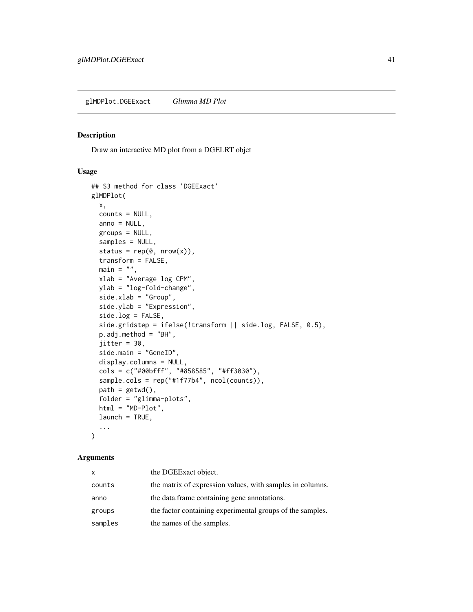#### <span id="page-40-1"></span><span id="page-40-0"></span>Description

Draw an interactive MD plot from a DGELRT objet

## Usage

```
## S3 method for class 'DGEExact'
glMDPlot(
  x,
  counts = NULL,anno = NULL,groups = NULL,
  samples = NULL,
  status = rep(0, nrow(x)),transform = FALSE,
  main = "",xlab = "Average log CPM",
 ylab = "log-fold-change",
  side.xlab = "Group",
  side.ylab = "Expression",
  side.log = FALSE,side.gridstep = ifelse(!transform || side.log, FALSE, 0.5),
  p.adj.method = "BH",
  jitter = 30,
  side.main = "GeneID",
  display.columns = NULL,
  cols = c("#00bfff", "#858585", "#ff3030"),
  sample.cols = rep("#1f77b4", ncol(counts)),
  path = getwd(),folder = "glimma-plots",
  html = "MD-Plot",
  launch = TRUE,
  ...
\mathcal{L}
```

| X       | the DGEExact object.                                      |
|---------|-----------------------------------------------------------|
| counts  | the matrix of expression values, with samples in columns. |
| anno    | the data.frame containing gene annotations.               |
| groups  | the factor containing experimental groups of the samples. |
| samples | the names of the samples.                                 |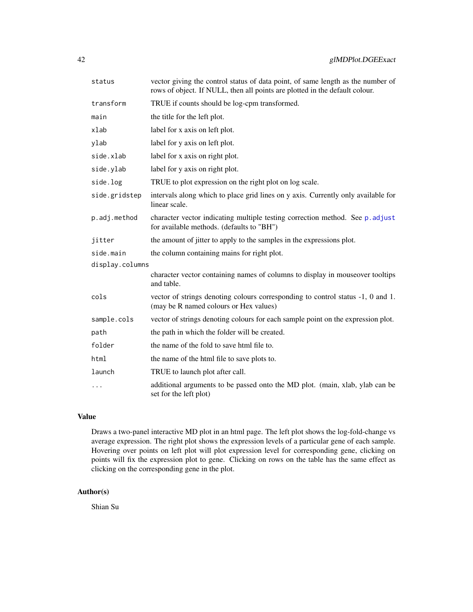<span id="page-41-0"></span>

| status          | vector giving the control status of data point, of same length as the number of<br>rows of object. If NULL, then all points are plotted in the default colour. |
|-----------------|----------------------------------------------------------------------------------------------------------------------------------------------------------------|
| transform       | TRUE if counts should be log-cpm transformed.                                                                                                                  |
| main            | the title for the left plot.                                                                                                                                   |
| xlab            | label for x axis on left plot.                                                                                                                                 |
| ylab            | label for y axis on left plot.                                                                                                                                 |
| side.xlab       | label for x axis on right plot.                                                                                                                                |
| side.ylab       | label for y axis on right plot.                                                                                                                                |
| side.log        | TRUE to plot expression on the right plot on log scale.                                                                                                        |
| side.gridstep   | intervals along which to place grid lines on y axis. Currently only available for<br>linear scale.                                                             |
| p.adj.method    | character vector indicating multiple testing correction method. See p. adjust<br>for available methods. (defaults to "BH")                                     |
| jitter          | the amount of jitter to apply to the samples in the expressions plot.                                                                                          |
| side.main       | the column containing mains for right plot.                                                                                                                    |
| display.columns |                                                                                                                                                                |
|                 | character vector containing names of columns to display in mouseover tooltips<br>and table.                                                                    |
| cols            | vector of strings denoting colours corresponding to control status -1, 0 and 1.<br>(may be R named colours or Hex values)                                      |
| sample.cols     | vector of strings denoting colours for each sample point on the expression plot.                                                                               |
| path            | the path in which the folder will be created.                                                                                                                  |
| folder          | the name of the fold to save html file to.                                                                                                                     |
| html            | the name of the html file to save plots to.                                                                                                                    |
| launch          | TRUE to launch plot after call.                                                                                                                                |
| $\cdots$        | additional arguments to be passed onto the MD plot. (main, xlab, ylab can be<br>set for the left plot)                                                         |

## Value

Draws a two-panel interactive MD plot in an html page. The left plot shows the log-fold-change vs average expression. The right plot shows the expression levels of a particular gene of each sample. Hovering over points on left plot will plot expression level for corresponding gene, clicking on points will fix the expression plot to gene. Clicking on rows on the table has the same effect as clicking on the corresponding gene in the plot.

## Author(s)

Shian Su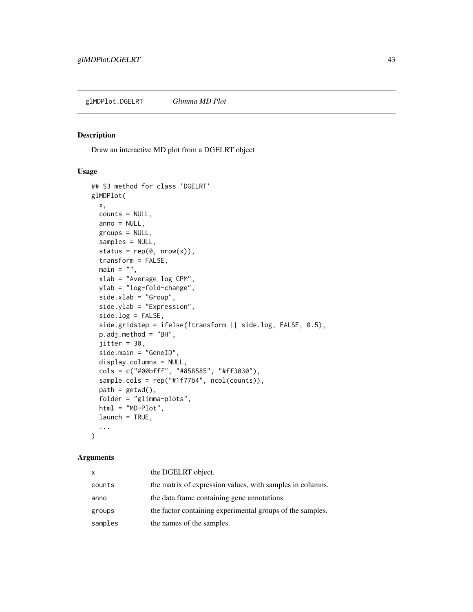<span id="page-42-1"></span><span id="page-42-0"></span>glMDPlot.DGELRT *Glimma MD Plot*

#### Description

Draw an interactive MD plot from a DGELRT object

## Usage

```
## S3 method for class 'DGELRT'
glMDPlot(
  x,
  counts = NULL,anno = NULL,groups = NULL,
  samples = NULL,
  status = rep(0, nrow(x)),transform = FALSE,
  main = "",xlab = "Average log CPM",
 ylab = "log-fold-change",
  side.xlab = "Group",
  side.ylab = "Expression",
  side.log = FALSE,
  side.gridstep = ifelse(!transform || side.log, FALSE, 0.5),
  p.adj.method = "BH",
  jitter = 30,
  side.main = "GeneID",
  display.columns = NULL,
  cols = c("#00bfff", "#858585", "#ff3030"),
  sample.cols = rep("#1f77b4", ncol(counts)),
  path = getwd(),folder = "glimma-plots",
  html = "MD-Plot",
  launch = TRUE,
  ...
\mathcal{L}
```

| X       | the DGELRT object.                                        |
|---------|-----------------------------------------------------------|
| counts  | the matrix of expression values, with samples in columns. |
| anno    | the data.frame containing gene annotations.               |
| groups  | the factor containing experimental groups of the samples. |
| samples | the names of the samples.                                 |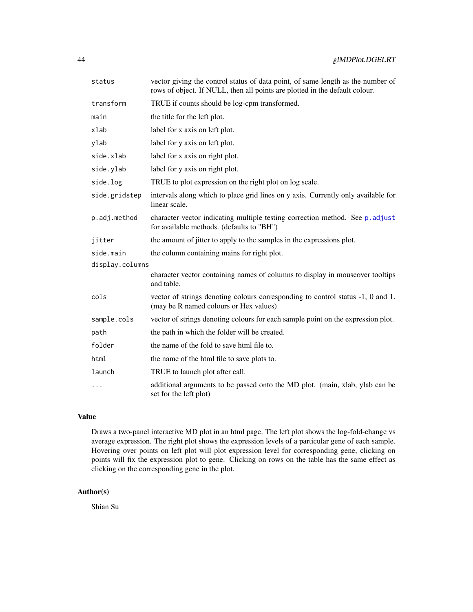<span id="page-43-0"></span>

| status          | vector giving the control status of data point, of same length as the number of<br>rows of object. If NULL, then all points are plotted in the default colour. |
|-----------------|----------------------------------------------------------------------------------------------------------------------------------------------------------------|
| transform       | TRUE if counts should be log-cpm transformed.                                                                                                                  |
| main            | the title for the left plot.                                                                                                                                   |
| xlab            | label for x axis on left plot.                                                                                                                                 |
| ylab            | label for y axis on left plot.                                                                                                                                 |
| side.xlab       | label for x axis on right plot.                                                                                                                                |
| side.ylab       | label for y axis on right plot.                                                                                                                                |
| side.log        | TRUE to plot expression on the right plot on log scale.                                                                                                        |
| side.gridstep   | intervals along which to place grid lines on y axis. Currently only available for<br>linear scale.                                                             |
| p.adj.method    | character vector indicating multiple testing correction method. See p. adjust<br>for available methods. (defaults to "BH")                                     |
| jitter          | the amount of jitter to apply to the samples in the expressions plot.                                                                                          |
| side.main       | the column containing mains for right plot.                                                                                                                    |
| display.columns |                                                                                                                                                                |
|                 | character vector containing names of columns to display in mouseover tooltips<br>and table.                                                                    |
| cols            | vector of strings denoting colours corresponding to control status -1, 0 and 1.<br>(may be R named colours or Hex values)                                      |
| sample.cols     | vector of strings denoting colours for each sample point on the expression plot.                                                                               |
| path            | the path in which the folder will be created.                                                                                                                  |
| folder          | the name of the fold to save html file to.                                                                                                                     |
| html            | the name of the html file to save plots to.                                                                                                                    |
| launch          | TRUE to launch plot after call.                                                                                                                                |
| $\cdots$        | additional arguments to be passed onto the MD plot. (main, xlab, ylab can be<br>set for the left plot)                                                         |

## Value

Draws a two-panel interactive MD plot in an html page. The left plot shows the log-fold-change vs average expression. The right plot shows the expression levels of a particular gene of each sample. Hovering over points on left plot will plot expression level for corresponding gene, clicking on points will fix the expression plot to gene. Clicking on rows on the table has the same effect as clicking on the corresponding gene in the plot.

## Author(s)

Shian Su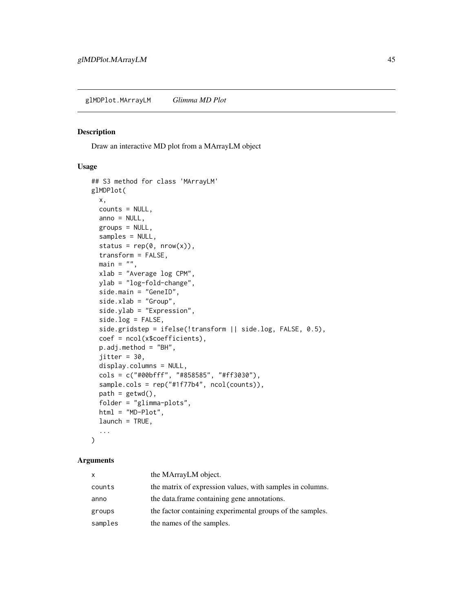<span id="page-44-1"></span><span id="page-44-0"></span>glMDPlot.MArrayLM *Glimma MD Plot*

## Description

Draw an interactive MD plot from a MArrayLM object

## Usage

```
## S3 method for class 'MArrayLM'
glMDPlot(
 x,
 counts = NULL,
 anno = NULL,groups = NULL,
  samples = NULL,
  status = rep(0, nrow(x)),transform = FALSE,
 main = "",xlab = "Average log CPM",
 ylab = "log-fold-change",
 side.main = "GeneID",
  side.xlab = "Group",
  side.ylab = "Expression",
  side.log = FALSE,side.gridstep = ifelse(!transform || side.log, FALSE, 0.5),
  coef = ncol(x$coefficients),
 p.adj.method = "BH",
  jitter = 30,
  display.columns = NULL,
  cols = c("#00bfff", "#858585", "#ff3030"),
  sample.cols = rep("#1f77b4", ncol(counts)),
 path = getwd(),
  folder = "glimma-plots",
 html = "MD-Plot",
 launch = TRUE,
  ...
)
```

| x       | the MArrayLM object.                                      |
|---------|-----------------------------------------------------------|
| counts  | the matrix of expression values, with samples in columns. |
| anno    | the data.frame containing gene annotations.               |
| groups  | the factor containing experimental groups of the samples. |
| samples | the names of the samples.                                 |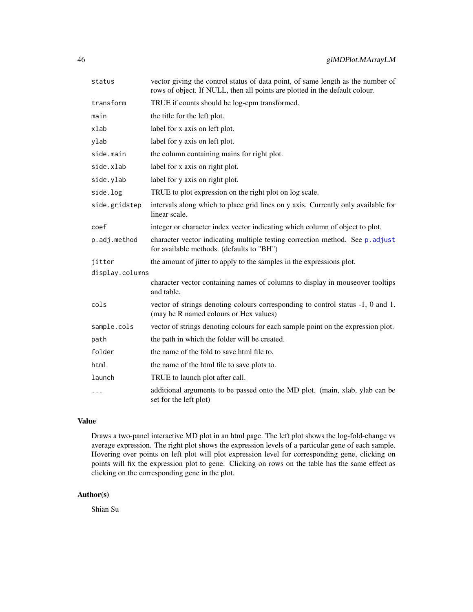<span id="page-45-0"></span>

| status          | vector giving the control status of data point, of same length as the number of<br>rows of object. If NULL, then all points are plotted in the default colour. |
|-----------------|----------------------------------------------------------------------------------------------------------------------------------------------------------------|
| transform       | TRUE if counts should be log-cpm transformed.                                                                                                                  |
| main            | the title for the left plot.                                                                                                                                   |
| xlab            | label for x axis on left plot.                                                                                                                                 |
| ylab            | label for y axis on left plot.                                                                                                                                 |
| side.main       | the column containing mains for right plot.                                                                                                                    |
| side.xlab       | label for x axis on right plot.                                                                                                                                |
| side.ylab       | label for y axis on right plot.                                                                                                                                |
| side.log        | TRUE to plot expression on the right plot on log scale.                                                                                                        |
| side.gridstep   | intervals along which to place grid lines on y axis. Currently only available for<br>linear scale.                                                             |
| coef            | integer or character index vector indicating which column of object to plot.                                                                                   |
| p.adj.method    | character vector indicating multiple testing correction method. See p. adjust<br>for available methods. (defaults to "BH")                                     |
| jitter          | the amount of jitter to apply to the samples in the expressions plot.                                                                                          |
| display.columns |                                                                                                                                                                |
|                 | character vector containing names of columns to display in mouseover tooltips<br>and table.                                                                    |
| cols            | vector of strings denoting colours corresponding to control status -1, 0 and 1.<br>(may be R named colours or Hex values)                                      |
| sample.cols     | vector of strings denoting colours for each sample point on the expression plot.                                                                               |
| path            | the path in which the folder will be created.                                                                                                                  |
| folder          | the name of the fold to save html file to.                                                                                                                     |
| html            | the name of the html file to save plots to.                                                                                                                    |
| launch          | TRUE to launch plot after call.                                                                                                                                |
| .               | additional arguments to be passed onto the MD plot. (main, xlab, ylab can be<br>set for the left plot)                                                         |

## Value

Draws a two-panel interactive MD plot in an html page. The left plot shows the log-fold-change vs average expression. The right plot shows the expression levels of a particular gene of each sample. Hovering over points on left plot will plot expression level for corresponding gene, clicking on points will fix the expression plot to gene. Clicking on rows on the table has the same effect as clicking on the corresponding gene in the plot.

## Author(s)

Shian Su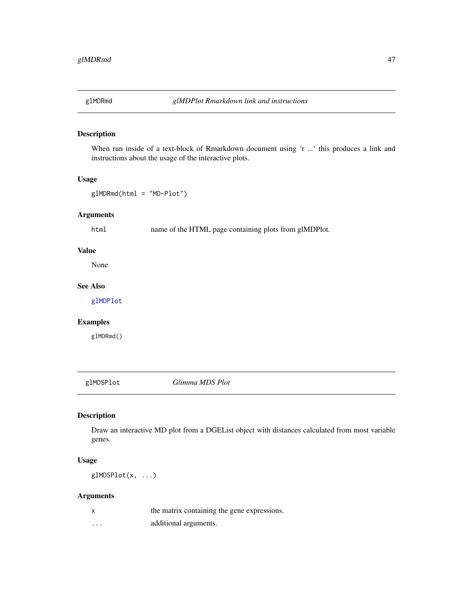<span id="page-46-0"></span>

## Description

When run inside of a text-block of Rmarkdown document using 'r ...' this produces a link and instructions about the usage of the interactive plots.

## Usage

glMDRmd(html = "MD-Plot")

## Arguments

html name of the HTML page containing plots from glMDPlot.

## Value

None

## See Also

[glMDPlot](#page-33-1)

## Examples

glMDRmd()

<span id="page-46-1"></span>glMDSPlot *Glimma MDS Plot*

## Description

Draw an interactive MD plot from a DGEList object with distances calculated from most variable genes.

## Usage

glMDSPlot(x, ...)

| $\mathsf{x}$ | the matrix containing the gene expressions. |
|--------------|---------------------------------------------|
| .            | additional arguments.                       |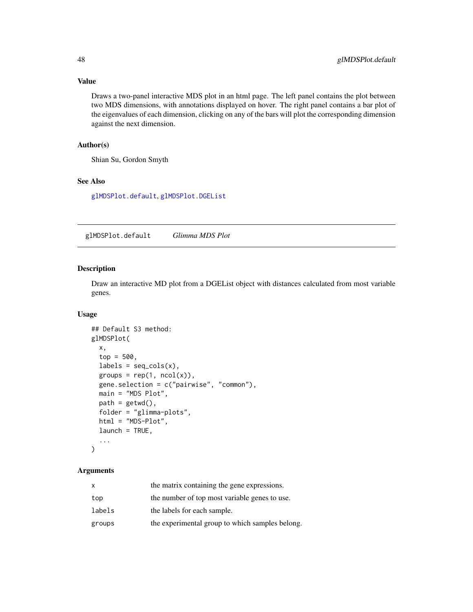## Value

Draws a two-panel interactive MDS plot in an html page. The left panel contains the plot between two MDS dimensions, with annotations displayed on hover. The right panel contains a bar plot of the eigenvalues of each dimension, clicking on any of the bars will plot the corresponding dimension against the next dimension.

## Author(s)

Shian Su, Gordon Smyth

## See Also

[glMDSPlot.default](#page-47-1), [glMDSPlot.DGEList](#page-49-1)

<span id="page-47-1"></span>glMDSPlot.default *Glimma MDS Plot*

## Description

Draw an interactive MD plot from a DGEList object with distances calculated from most variable genes.

#### Usage

```
## Default S3 method:
glMDSPlot(
 x,
  top = 500,labels = seq\_cols(x),
  groups = rep(1, ncol(x)),gene.selection = c("pairwise", "common"),
 main = "MDS Plot",
 path = getwd(),
  folder = "glimma-plots",
 html = "MDS-Plot",
 launch = TRUE,
  ...
)
```

| the matrix containing the gene expressions.     |
|-------------------------------------------------|
| the number of top most variable genes to use.   |
| the labels for each sample.                     |
| the experimental group to which samples belong. |
|                                                 |

<span id="page-47-0"></span>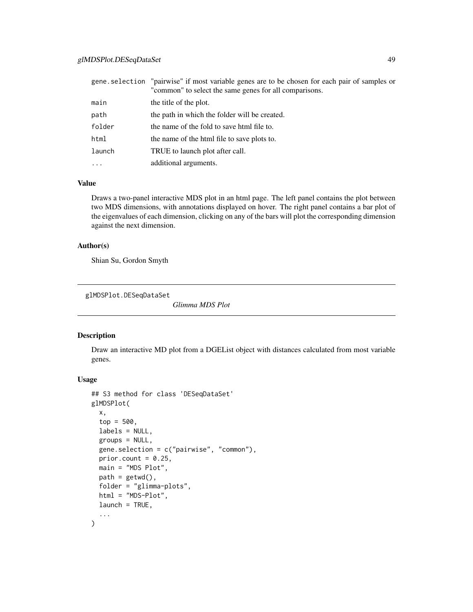## <span id="page-48-0"></span>glMDSPlot.DESeqDataSet 49

|          | gene selection "pairwise" if most variable genes are to be chosen for each pair of samples or<br>"common" to select the same genes for all comparisons. |
|----------|---------------------------------------------------------------------------------------------------------------------------------------------------------|
| main     | the title of the plot.                                                                                                                                  |
| path     | the path in which the folder will be created.                                                                                                           |
| folder   | the name of the fold to save html file to.                                                                                                              |
| html     | the name of the html file to save plots to.                                                                                                             |
| launch   | TRUE to launch plot after call.                                                                                                                         |
| $\cdots$ | additional arguments.                                                                                                                                   |

## Value

Draws a two-panel interactive MDS plot in an html page. The left panel contains the plot between two MDS dimensions, with annotations displayed on hover. The right panel contains a bar plot of the eigenvalues of each dimension, clicking on any of the bars will plot the corresponding dimension against the next dimension.

## Author(s)

Shian Su, Gordon Smyth

glMDSPlot.DESeqDataSet

*Glimma MDS Plot*

## Description

Draw an interactive MD plot from a DGEList object with distances calculated from most variable genes.

#### Usage

```
## S3 method for class 'DESeqDataSet'
glMDSPlot(
 x,
  top = 500,
 labels = NULL,
  groups = NULL,
 gene.selection = c("pairwise", "common"),
 prior.count = 0.25,
 main = "MDS Plot",
 path = getwd(),
 folder = "glimma-plots",
 html = "MDS-Plot",
 launch = TRUE,
  ...
)
```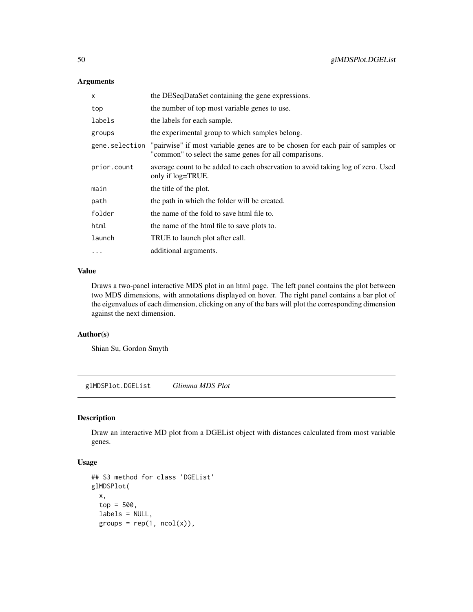## <span id="page-49-0"></span>Arguments

| x           | the DESeqDataSet containing the gene expressions.                                                                                                       |
|-------------|---------------------------------------------------------------------------------------------------------------------------------------------------------|
| top         | the number of top most variable genes to use.                                                                                                           |
| labels      | the labels for each sample.                                                                                                                             |
| groups      | the experimental group to which samples belong.                                                                                                         |
|             | gene selection "pairwise" if most variable genes are to be chosen for each pair of samples or<br>"common" to select the same genes for all comparisons. |
| prior.count | average count to be added to each observation to avoid taking log of zero. Used<br>only if log=TRUE.                                                    |
| main        | the title of the plot.                                                                                                                                  |
| path        | the path in which the folder will be created.                                                                                                           |
| folder      | the name of the fold to save html file to.                                                                                                              |
| html        | the name of the html file to save plots to.                                                                                                             |
| launch      | TRUE to launch plot after call.                                                                                                                         |
| $\cdots$    | additional arguments.                                                                                                                                   |

## Value

Draws a two-panel interactive MDS plot in an html page. The left panel contains the plot between two MDS dimensions, with annotations displayed on hover. The right panel contains a bar plot of the eigenvalues of each dimension, clicking on any of the bars will plot the corresponding dimension against the next dimension.

## Author(s)

Shian Su, Gordon Smyth

<span id="page-49-1"></span>glMDSPlot.DGEList *Glimma MDS Plot*

## Description

Draw an interactive MD plot from a DGEList object with distances calculated from most variable genes.

## Usage

```
## S3 method for class 'DGEList'
glMDSPlot(
 x,
  top = 500,labels = NULL,
 groups = rep(1, ncol(x)),
```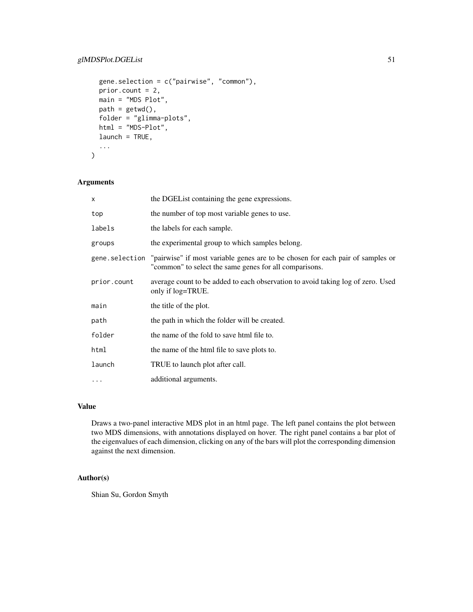## glMDSPlot.DGEList 51

```
gene.selection = c("pairwise", "common"),
 prior.count = 2,
 main = "MDS Plot",
 path = getwd(),
 folder = "glimma-plots",
 html = "MDS-Plot",
 launch = TRUE,
  ...
)
```
## Arguments

| X              | the DGEL ist containing the gene expressions.                                                                                            |
|----------------|------------------------------------------------------------------------------------------------------------------------------------------|
| top            | the number of top most variable genes to use.                                                                                            |
| labels         | the labels for each sample.                                                                                                              |
| groups         | the experimental group to which samples belong.                                                                                          |
| gene.selection | "pairwise" if most variable genes are to be chosen for each pair of samples or<br>"common" to select the same genes for all comparisons. |
| prior.count    | average count to be added to each observation to avoid taking log of zero. Used<br>only if log=TRUE.                                     |
| main           | the title of the plot.                                                                                                                   |
| path           | the path in which the folder will be created.                                                                                            |
| folder         | the name of the fold to save html file to.                                                                                               |
| html           | the name of the html file to save plots to.                                                                                              |
| launch         | TRUE to launch plot after call.                                                                                                          |
| $\ddotsc$      | additional arguments.                                                                                                                    |

## Value

Draws a two-panel interactive MDS plot in an html page. The left panel contains the plot between two MDS dimensions, with annotations displayed on hover. The right panel contains a bar plot of the eigenvalues of each dimension, clicking on any of the bars will plot the corresponding dimension against the next dimension.

## Author(s)

Shian Su, Gordon Smyth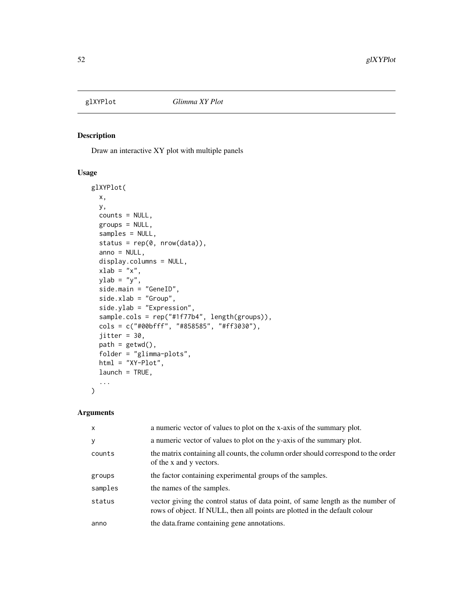<span id="page-51-1"></span><span id="page-51-0"></span>

## Description

Draw an interactive XY plot with multiple panels

## Usage

```
glXYPlot(
 x,
 y,
 counts = NULL,
 groups = NULL,
  samples = NULL,
  status = rep(0, nrow(data)),
  anno = NULL,display.columns = NULL,
  xlab = "x",
 ylab = "y",
  side.main = "GeneID",
  side.xlab = "Group",
  side.ylab = "Expression",
  sample.cols = rep("#1f77b4", length(groups)),
  cols = c("#00bfff", "#858585", "#ff3030"),
  jitter = 30,
 path = getwd(),
  folder = "glimma-plots",
  html = "XY-Plot",
  launch = TRUE,
  ...
)
```

| $\mathsf{x}$ | a numeric vector of values to plot on the x-axis of the summary plot.                                                                                         |
|--------------|---------------------------------------------------------------------------------------------------------------------------------------------------------------|
| y            | a numeric vector of values to plot on the y-axis of the summary plot.                                                                                         |
| counts       | the matrix containing all counts, the column order should correspond to the order<br>of the x and y vectors.                                                  |
| groups       | the factor containing experimental groups of the samples.                                                                                                     |
| samples      | the names of the samples.                                                                                                                                     |
| status       | vector giving the control status of data point, of same length as the number of<br>rows of object. If NULL, then all points are plotted in the default colour |
| anno         | the data.frame containing gene annotations.                                                                                                                   |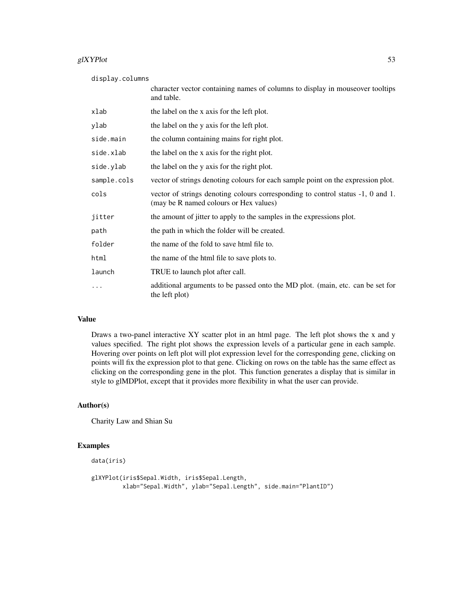#### glXYPlot  $53$

display.columns

|             | character vector containing names of columns to display in mouseover tooltips<br>and table.                               |
|-------------|---------------------------------------------------------------------------------------------------------------------------|
| xlab        | the label on the x axis for the left plot.                                                                                |
| ylab        | the label on the y axis for the left plot.                                                                                |
| side.main   | the column containing mains for right plot.                                                                               |
| side.xlab   | the label on the x axis for the right plot.                                                                               |
| side.ylab   | the label on the y axis for the right plot.                                                                               |
| sample.cols | vector of strings denoting colours for each sample point on the expression plot.                                          |
| cols        | vector of strings denoting colours corresponding to control status -1, 0 and 1.<br>(may be R named colours or Hex values) |
| jitter      | the amount of jitter to apply to the samples in the expressions plot.                                                     |
| path        | the path in which the folder will be created.                                                                             |
| folder      | the name of the fold to save html file to.                                                                                |
| html        | the name of the html file to save plots to.                                                                               |
| launch      | TRUE to launch plot after call.                                                                                           |
| .           | additional arguments to be passed onto the MD plot. (main, etc. can be set for<br>the left plot)                          |

## Value

Draws a two-panel interactive XY scatter plot in an html page. The left plot shows the x and y values specified. The right plot shows the expression levels of a particular gene in each sample. Hovering over points on left plot will plot expression level for the corresponding gene, clicking on points will fix the expression plot to that gene. Clicking on rows on the table has the same effect as clicking on the corresponding gene in the plot. This function generates a display that is similar in style to glMDPlot, except that it provides more flexibility in what the user can provide.

## Author(s)

Charity Law and Shian Su

## Examples

```
data(iris)
```

```
glXYPlot(iris$Sepal.Width, iris$Sepal.Length,
        xlab="Sepal.Width", ylab="Sepal.Length", side.main="PlantID")
```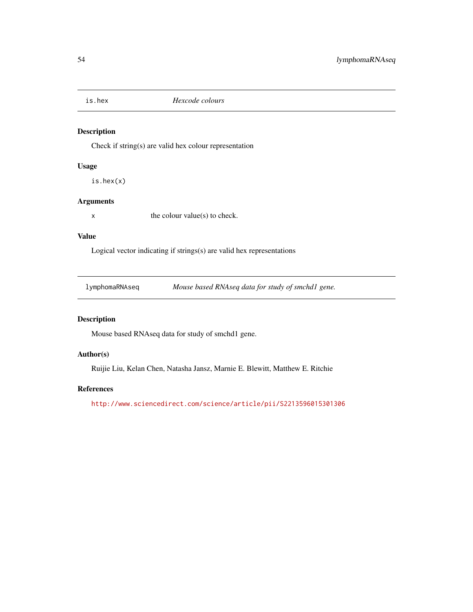<span id="page-53-0"></span>

## Description

Check if string(s) are valid hex colour representation

## Usage

is.hex(x)

## Arguments

 $x$  the colour value(s) to check.

#### Value

Logical vector indicating if strings(s) are valid hex representations

lymphomaRNAseq *Mouse based RNAseq data for study of smchd1 gene.*

## Description

Mouse based RNAseq data for study of smchd1 gene.

## Author(s)

Ruijie Liu, Kelan Chen, Natasha Jansz, Marnie E. Blewitt, Matthew E. Ritchie

## References

<http://www.sciencedirect.com/science/article/pii/S2213596015301306>